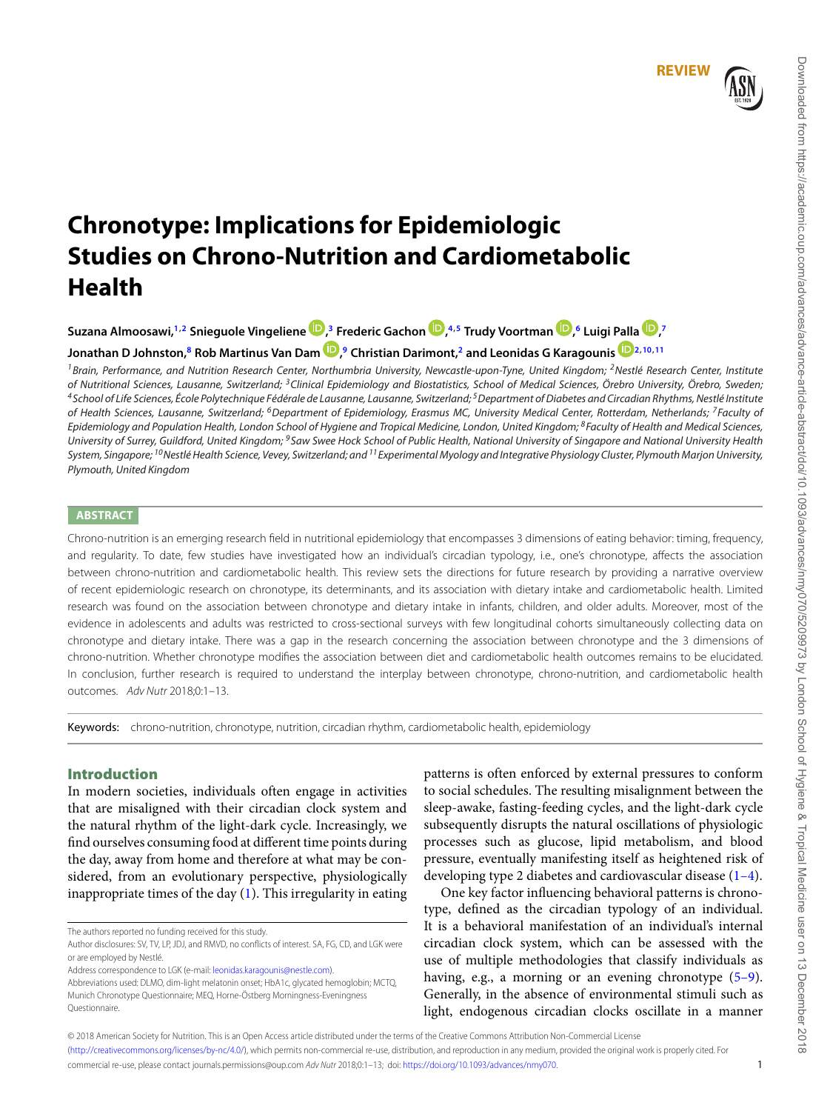<span id="page-0-6"></span><span id="page-0-1"></span>

# **Chronotype: Implications for Epidemiologic Studies on Chrono-Nutrition and Cardiometabolic Health**

**Suzana Almoosawi[,1](#page-0-0)[,2](#page-0-1) Snieguole Vingeliene [,](http://orcid.org/0000-0003-1030-3470) [3](#page-0-2) Frederic Gachon [,](http://orcid.org/0000-0002-9279-9707) [4,](#page-0-3)[5](#page-0-4) Trudy Voortman [,](http://orcid.org/0000-0003-2830-6813) [6](#page-0-5) Luigi Palla [,](http://orcid.org/0000-0001-6944-1750) [7](#page-0-6)**

**Jonathan D Johnston[,8](#page-0-7) Rob Martinus Van Dam [,](http://orcid.org/0000-0002-7354-8734) [9](#page-0-8) Christian Darimont,[2](#page-0-1) and Leonidas G Karagounis [2,](#page-0-1)[10,](#page-0-9)[11](#page-0-10)**

<span id="page-0-5"></span><span id="page-0-3"></span><span id="page-0-2"></span><span id="page-0-0"></span>*1Brain, Performance, and Nutrition Research Center, Northumbria University, Newcastle-upon-Tyne, United Kingdom; 2Nestlé Research Center, Institute of Nutritional Sciences, Lausanne, Switzerland; 3Clinical Epidemiology and Biostatistics, School of Medical Sciences, Örebro University, Örebro, Sweden; 4School of Life Sciences, École Polytechnique Fédérale de Lausanne, Lausanne, Switzerland; 5Department of Diabetes and Circadian Rhythms, Nestlé Institute of Health Sciences, Lausanne, Switzerland; 6Department of Epidemiology, Erasmus MC, University Medical Center, Rotterdam, Netherlands; 7Faculty of Epidemiology and Population Health, London School of Hygiene and Tropical Medicine, London, United Kingdom; 8Faculty of Health and Medical Sciences, University of Surrey, Guildford, United Kingdom; 9Saw Swee Hock School of Public Health, National University of Singapore and National University Health System, Singapore; 10Nestlé Health Science, Vevey, Switzerland; and 11Experimental Myology and Integrative Physiology Cluster, Plymouth Marjon University, Plymouth, United Kingdom*

### <span id="page-0-10"></span><span id="page-0-9"></span><span id="page-0-8"></span>**ABSTRACT**

Chrono-nutrition is an emerging research field in nutritional epidemiology that encompasses 3 dimensions of eating behavior: timing, frequency, and regularity. To date, few studies have investigated how an individual's circadian typology, i.e., one's chronotype, affects the association between chrono-nutrition and cardiometabolic health. This review sets the directions for future research by providing a narrative overview of recent epidemiologic research on chronotype, its determinants, and its association with dietary intake and cardiometabolic health. Limited research was found on the association between chronotype and dietary intake in infants, children, and older adults. Moreover, most of the evidence in adolescents and adults was restricted to cross-sectional surveys with few longitudinal cohorts simultaneously collecting data on chronotype and dietary intake. There was a gap in the research concerning the association between chronotype and the 3 dimensions of chrono-nutrition. Whether chronotype modifies the association between diet and cardiometabolic health outcomes remains to be elucidated. In conclusion, further research is required to understand the interplay between chronotype, chrono-nutrition, and cardiometabolic health outcomes. *Adv Nutr* 2018;0:1–13.

Keywords: chrono-nutrition, chronotype, nutrition, circadian rhythm, cardiometabolic health, epidemiology

### **Introduction**

In modern societies, individuals often engage in activities that are misaligned with their circadian clock system and the natural rhythm of the light-dark cycle. Increasingly, we find ourselves consuming food at different time points during the day, away from home and therefore at what may be considered, from an evolutionary perspective, physiologically inappropriate times of the day [\(1\)](#page-9-0). This irregularity in eating <span id="page-0-7"></span><span id="page-0-4"></span>patterns is often enforced by external pressures to conform to social schedules. The resulting misalignment between the sleep-awake, fasting-feeding cycles, and the light-dark cycle subsequently disrupts the natural oscillations of physiologic processes such as glucose, lipid metabolism, and blood pressure, eventually manifesting itself as heightened risk of developing type 2 diabetes and cardiovascular disease [\(1–4\)](#page-9-0).

One key factor influencing behavioral patterns is chronotype, defined as the circadian typology of an individual. It is a behavioral manifestation of an individual's internal circadian clock system, which can be assessed with the use of multiple methodologies that classify individuals as having, e.g., a morning or an evening chronotype  $(5-9)$ . Generally, in the absence of environmental stimuli such as light, endogenous circadian clocks oscillate in a manner



commercial re-use, please contact journals.permissions@oup.com *Adv Nutr* 2018;0:1–13; doi: [https://doi.org/10.1093/advances/nmy070.](https://doi.org/10.1093/advances/nmy070) 1

The authors reported no funding received for this study.

Author disclosures: SV, TV, LP, JDJ, and RMVD, no conflicts of interest. SA, FG, CD, and LGK were or are employed by Nestlé.

Address correspondence to LGK (e-mail: [leonidas.karagounis@nestle.com\)](mailto:leonidas.karagounis@nestle.com).

Abbreviations used: DLMO, dim-light melatonin onset; HbA1c, glycated hemoglobin; MCTQ, Munich Chronotype Questionnaire; MEQ, Horne-Östberg Morningness-Eveningness Questionnaire.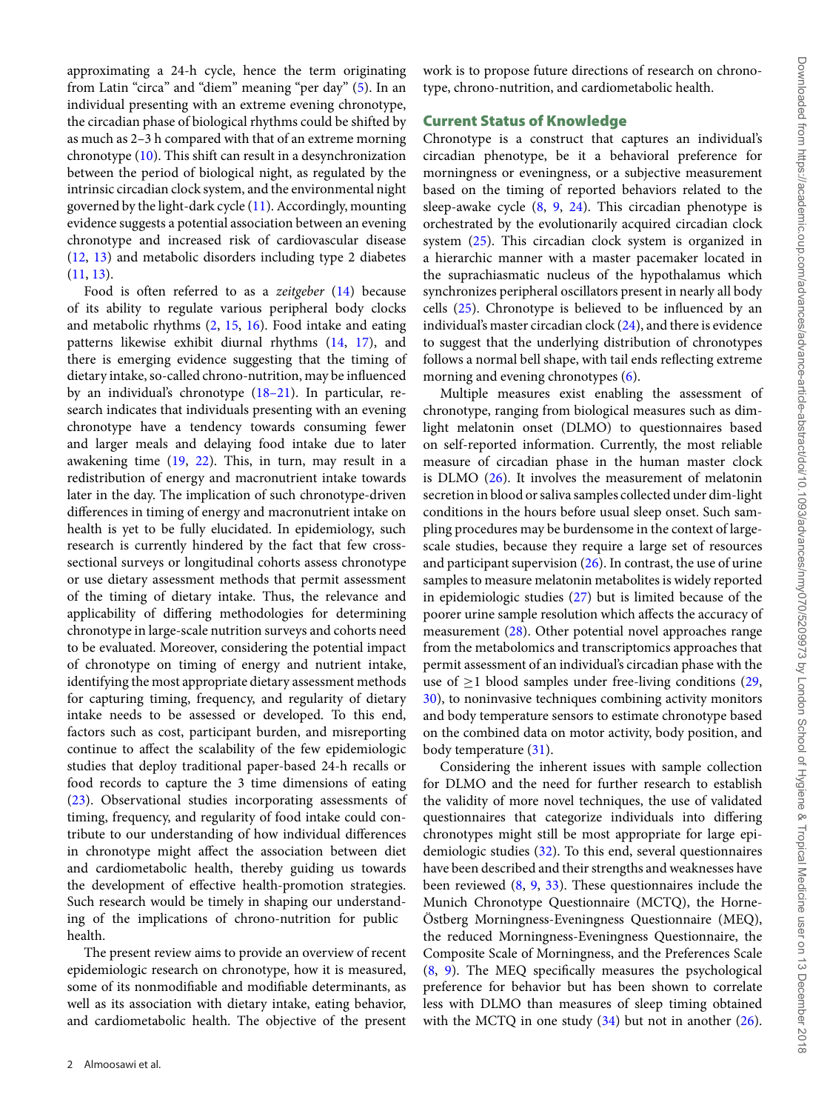approximating a 24-h cycle, hence the term originating from Latin "circa" and "diem" meaning "per day" [\(5\)](#page-9-1). In an individual presenting with an extreme evening chronotype, the circadian phase of biological rhythms could be shifted by as much as 2–3 h compared with that of an extreme morning chronotype [\(10\)](#page-9-2). This shift can result in a desynchronization between the period of biological night, as regulated by the intrinsic circadian clock system, and the environmental night governed by the light-dark cycle [\(11\)](#page-9-3). Accordingly, mounting evidence suggests a potential association between an evening chronotype and increased risk of cardiovascular disease [\(12,](#page-9-4) [13\)](#page-9-5) and metabolic disorders including type 2 diabetes  $(11, 13)$  $(11, 13)$  $(11, 13)$ .

Food is often referred to as a *zeitgeber* [\(14\)](#page-9-6) because of its ability to regulate various peripheral body clocks and metabolic rhythms [\(2,](#page-9-7) [15,](#page-9-8) [16\)](#page-9-9). Food intake and eating patterns likewise exhibit diurnal rhythms [\(14,](#page-9-6) [17\)](#page-9-10), and there is emerging evidence suggesting that the timing of dietary intake, so-called chrono-nutrition, may be influenced by an individual's chronotype [\(18–21\)](#page-9-11). In particular, research indicates that individuals presenting with an evening chronotype have a tendency towards consuming fewer and larger meals and delaying food intake due to later awakening time [\(19,](#page-10-0) [22\)](#page-10-1). This, in turn, may result in a redistribution of energy and macronutrient intake towards later in the day. The implication of such chronotype-driven differences in timing of energy and macronutrient intake on health is yet to be fully elucidated. In epidemiology, such research is currently hindered by the fact that few crosssectional surveys or longitudinal cohorts assess chronotype or use dietary assessment methods that permit assessment of the timing of dietary intake. Thus, the relevance and applicability of differing methodologies for determining chronotype in large-scale nutrition surveys and cohorts need to be evaluated. Moreover, considering the potential impact of chronotype on timing of energy and nutrient intake, identifying the most appropriate dietary assessment methods for capturing timing, frequency, and regularity of dietary intake needs to be assessed or developed. To this end, factors such as cost, participant burden, and misreporting continue to affect the scalability of the few epidemiologic studies that deploy traditional paper-based 24-h recalls or food records to capture the 3 time dimensions of eating [\(23\)](#page-10-2). Observational studies incorporating assessments of timing, frequency, and regularity of food intake could contribute to our understanding of how individual differences in chronotype might affect the association between diet and cardiometabolic health, thereby guiding us towards the development of effective health-promotion strategies. Such research would be timely in shaping our understanding of the implications of chrono-nutrition for public health.

The present review aims to provide an overview of recent epidemiologic research on chronotype, how it is measured, some of its nonmodifiable and modifiable determinants, as well as its association with dietary intake, eating behavior, and cardiometabolic health. The objective of the present

work is to propose future directions of research on chronotype, chrono-nutrition, and cardiometabolic health.

# **Current Status of Knowledge**

Chronotype is a construct that captures an individual's circadian phenotype, be it a behavioral preference for morningness or eveningness, or a subjective measurement based on the timing of reported behaviors related to the sleep-awake cycle  $(8, 9, 24)$  $(8, 9, 24)$  $(8, 9, 24)$  $(8, 9, 24)$  $(8, 9, 24)$ . This circadian phenotype is orchestrated by the evolutionarily acquired circadian clock system [\(25\)](#page-10-4). This circadian clock system is organized in a hierarchic manner with a master pacemaker located in the suprachiasmatic nucleus of the hypothalamus which synchronizes peripheral oscillators present in nearly all body cells  $(25)$ . Chronotype is believed to be influenced by an individual's master circadian clock  $(24)$ , and there is evidence to suggest that the underlying distribution of chronotypes follows a normal bell shape, with tail ends reflecting extreme morning and evening chronotypes [\(6\)](#page-9-14).

Multiple measures exist enabling the assessment of chronotype, ranging from biological measures such as dimlight melatonin onset (DLMO) to questionnaires based on self-reported information. Currently, the most reliable measure of circadian phase in the human master clock is DLMO [\(26\)](#page-10-5). It involves the measurement of melatonin secretion in blood or saliva samples collected under dim-light conditions in the hours before usual sleep onset. Such sampling procedures may be burdensome in the context of largescale studies, because they require a large set of resources and participant supervision  $(26)$ . In contrast, the use of urine samples to measure melatonin metabolites is widely reported in epidemiologic studies [\(27\)](#page-10-6) but is limited because of the poorer urine sample resolution which affects the accuracy of measurement [\(28\)](#page-10-7). Other potential novel approaches range from the metabolomics and transcriptomics approaches that permit assessment of an individual's circadian phase with the use of  $\geq$ 1 blood samples under free-living conditions [\(29,](#page-10-8) [30\)](#page-10-9), to noninvasive techniques combining activity monitors and body temperature sensors to estimate chronotype based on the combined data on motor activity, body position, and body temperature [\(31\)](#page-10-10).

Considering the inheren[t](#page-2-0) issues with sample collection for DLMO and the need for further research to establish the validity of more novel techniques, the use of validated questionnaires that categorize individuals into differing chronotypes might still be most appropriate for large epidemiologic studies [\(32\)](#page-10-11). To this end, several questionnaires have been described and their strengths and weaknesses have been reviewed [\(8,](#page-9-12) [9,](#page-9-13) [33\)](#page-10-12). These questionnaires include the Munich Chronotype Questionnaire (MCTQ), the Horne-Östberg Morningness-Eveningness Questionnaire (MEQ), the reduced Morningness-Eveningness Questionnaire, the Composite Scale of Morningness, and the Preferences Scale [\(8,](#page-9-12) [9\)](#page-9-13). The MEQ specifically measures the psychological preference for behavior but has been shown to correlate less with DLMO than measures of sleep timing obtained with the MCTQ in one study  $(34)$  but not in another  $(26)$ .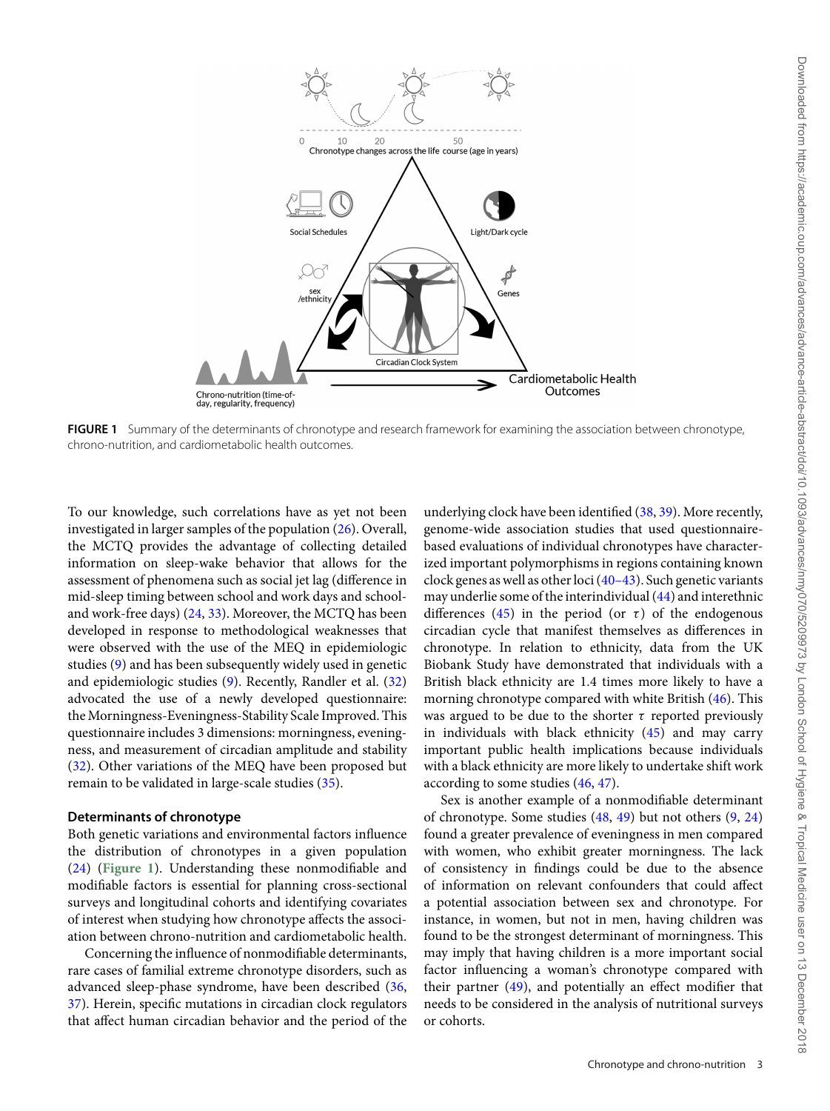<span id="page-2-0"></span>

**FIGURE 1** Summary of the determinants of chronotype and research framework for examining the association between chronotype, chrono-nutrition, and cardiometabolic health outcomes.

To our knowledge, such correlations have as yet not been investigated in larger samples of the population [\(26\)](#page-10-5). Overall, the MCTQ provides the advantage of collecting detailed information on sleep-wake behavior that allows for the assessment of phenomena such as social jet lag (difference in mid-sleep timing between school and work days and schooland work-free days) [\(24,](#page-10-3) [33\)](#page-10-12). Moreover, the MCTQ has been developed in response to methodological weaknesses that were observed with the use of the MEQ in epidemiologic studies [\(9\)](#page-9-13) and has been subsequently widely used in genetic and epidemiologic studies [\(9\)](#page-9-13). Recently, Randler et al. [\(32\)](#page-10-11) advocated the use of a newly developed questionnaire: the Morningness-Eveningness-Stability Scale Improved. This questionnaire includes 3 dimensions: morningness, eveningness, and measurement of circadian amplitude and stability [\(32\)](#page-10-11). Other variations of the MEQ have been proposed but remain to be validated in large-scale studies [\(35\)](#page-10-14).

#### **Determinants of chronotype**

Both genetic variations and environmental factors influence the distribution of chronotypes in a given population [\(24\)](#page-10-3) (**[Figure 1](#page-2-0)**). Understanding these nonmodifiable and modifiable factors is essential for planning cross-sectional surveys and longitudinal cohorts and identifying covariates of interest when studying how chronotype affects the association between chrono-nutrition and cardiometabolic health.

Concerning the influence of nonmodifiable determinants, rare cases of familial extreme chronotype disorders, such as advanced sleep-phase syndrome, have been described [\(36,](#page-10-15) [37\)](#page-10-16). Herein, specific mutations in circadian clock regulators that affect human circadian behavior and the period of the underlying clock have been identified [\(38,](#page-10-17) [39\)](#page-10-18). More recently, genome-wide association studies that used questionnairebased evaluations of individual chronotypes have characterized important polymorphisms in regions containing known clock genes as well as other loci [\(40–43\)](#page-10-19). Such genetic variants may underlie some of the interindividual [\(44\)](#page-10-20) and interethnic differences [\(45\)](#page-10-21) in the period (or  $\tau$ ) of the endogenous circadian cycle that manifest themselves as differences in chronotype. In relation to ethnicity, data from the UK Biobank Study have demonstrated that individuals with a British black ethnicity are 1.4 times more likely to have a morning chronotype compared with white British [\(46\)](#page-10-22). This was argued to be due to the shorter  $\tau$  reported previously in individuals with black ethnicity [\(45\)](#page-10-21) and may carry important public health implications because individuals with a black ethnicity are more likely to undertake shift work according to some studies [\(46,](#page-10-22) [47\)](#page-10-23).

Sex is another example of a nonmodifiable determinant of chronotype. Some studies [\(48,](#page-10-24) [49\)](#page-10-25) but not others [\(9,](#page-9-13) [24\)](#page-10-3) found a greater prevalence of eveningness in men compared with women, who exhibit greater morningness. The lack of consistency in findings could be due to the absence of information on relevant confounders that could affect a potential association between sex and chronotype. For instance, in women, but not in men, having children was found to be the strongest determinant of morningness. This may imply that having children is a more important social factor influencing a woman's chronotype compared with their partner [\(49\)](#page-10-25), and potentially an effect modifier that needs to be considered in the analysis of nutritional surveys or cohorts.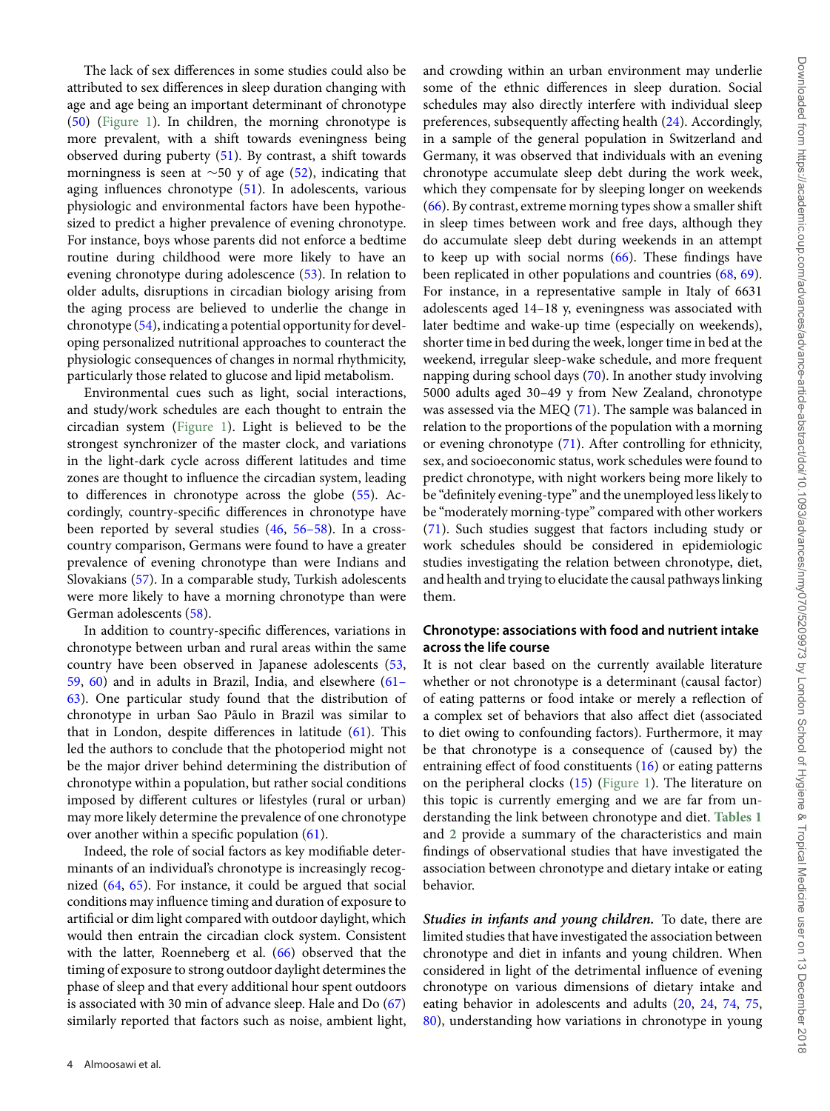The lack of sex differences in some studies could also be attributed to sex differences in sleep duration changing with age and age being an important determinant of chronotype [\(50\)](#page-10-26) [\(Figure 1\)](#page-2-0). In children, the morning chronotype is more prevalent, with a shift towards eveningness being observed during puberty [\(51\)](#page-10-27). By contrast, a shift towards morningness is seen at  $\sim$ 50 y of age [\(52\)](#page-10-28), indicating that aging influences chronotype [\(51\)](#page-10-27). In adolescents, various physiologic and environmental factors have been hypothesized to predict a higher prevalence of evening chronotype. For instance, boys whose parents did not enforce a bedtime routine during childhood were more likely to have an evening chronotype during adolescence [\(53\)](#page-10-29). In relation to older adults, disruptions in circadian biology arising from the aging process are believed to underlie the change in chronotype [\(54\)](#page-10-30), indicating a potential opportunity for developing personalized nutritional approaches to counteract the physiologic consequences of changes in normal rhythmicity, particularly those related to glucose and lipid metabolism.

Environmental cues such as light, social interactions, and study/work schedules are each thought to entrain the circadian system [\(Figure 1\)](#page-2-0). Light is believed to be the strongest synchronizer of the master clock, and variations in the light-dark cycle across different latitudes and time zones are thought to influence the circadian system, leading to differences in chronotype across the globe [\(55\)](#page-10-31). Accordingly, country-specific differences in chronotype have been reported by several studies [\(46,](#page-10-22) [56–58\)](#page-10-32). In a crosscountry comparison, Germans were found to have a greater prevalence of evening chronotype than were Indians and Slovakians [\(57\)](#page-10-33). In a comparable study, Turkish adolescents were more likely to have a morning chronotype than were German adolescents [\(58\)](#page-10-34).

In addition to country-specific differences, variations in chronotype between urban and rural areas within the same country have been observed in Japanese adolescents [\(53,](#page-10-29) [59,](#page-11-0) [60\)](#page-11-1) and in adults in Brazil, India, and elsewhere (61– [63\). One particular study found that the distribution of](#page-11-2) chronotype in urban Sao Pãulo in Brazil was similar to that in London, despite differences in latitude [\(61\)](#page-11-2). This led the authors to conclude that the photoperiod might not be the major driver behind determining the distribution of chronotype within a population, but rather social conditions imposed by different cultures or lifestyles (rural or urban) may more likely determine the prevalence of one chronotype over another within a specific population [\(61\)](#page-11-2).

Indeed, the role of social factors as key modifiable determinants of an individual's chronotype is increasingly recognized [\(64,](#page-11-3) [65\)](#page-11-4). For instance, it could be argued that social conditions may influence timing and duration of exposure to artificial or dim light compared with outdoor daylight, which would then entrain the circadian clock system. Consistent with the latter, Roenneberg et al. [\(66\)](#page-11-5) observed that the timing of exposure to strong outdoor daylight determines the phase of sleep and that every additional hour spent outdoors is associated with 30 min of advance sleep. Hale and Do [\(67\)](#page-11-6) similarly reported that factors such as noise, ambient light,

4 Almoosawi et al.

and crowding within an urban environment may underlie some of the ethnic differences in sleep duration. Social schedules may also directly interfere with individual sleep preferences, subsequently affecting health [\(24\)](#page-10-3). Accordingly, in a sample of the general population in Switzerland and Germany, it was observed that individuals with an evening chronotype accumulate sleep debt during the work week, which they compensate for by sleeping longer on weekends [\(66\)](#page-11-5). By contrast, extreme morning types show a smaller shift in sleep times between work and free days, although they do accumulate sleep debt during weekends in an attempt to keep up with social norms [\(66\)](#page-11-5). These findings have been replicated in other populations and countries [\(68,](#page-11-7) [69\)](#page-11-8). For instance, in a representative sample in Italy of 6631 adolescents aged 14–18 y, eveningness was associated with later bedtime and wake-up time (especially on weekends), shorter time in bed during the week, longer time in bed at the weekend, irregular sleep-wake schedule, and more frequent napping during school days [\(70\)](#page-11-9). In another study involving 5000 adults aged 30–49 y from New Zealand, chronotype was assessed via the MEQ [\(71\)](#page-11-10). The sample was balanced in relation to the proportions of the population with a morning or evening chronotype [\(71\)](#page-11-10). After controlling for ethnicity, sex, and socioeconomic status, work schedules were found to predict chronotype, with night workers being more likely to be "definitely evening-type" and the unemployed less likely to be "moderately morning-type" compared with other workers [\(71\)](#page-11-10). Such studies suggest that factors including study or work schedules should be considered in epidemiologic studies investigating the relation between chronotype, diet, and health and trying to elucidate the causal pathways linking them.

# **Chronotype: associations with food and nutrient intake across the life course**

It is not clear based on the currently available literature whether or not chronotype is a determinant (causal factor) of eating patterns or food intake or merely a reflection of a complex set of behaviors that also affect diet (associated to diet owing to confounding factors). Furthermore, it may be that chronotype is a consequence of (caused by) the entraining effect of food constituents [\(16\)](#page-9-9) or eating patterns on the peripheral clocks  $(15)$  [\(Figure 1\)](#page-2-0). The literature on this topic is currently emerging and we are far from understanding the link between chronotype and diet. **[Tables 1](#page-4-0)** and **[2](#page-5-0)** provide a summary of the characteristics and main findings of observational studies that have investigated the association between chronotype and dietary intake or eating behavior.

*Studies in infants and young children.* To date, there are limited studies that have investigated the association between chronotype and diet in infants and young children. When considered in light of the detrimental influence of evening chronotype on various dimensions of dietary intake and eating behavior in adolescents and adults [\(20,](#page-10-35) [24,](#page-10-3) [74,](#page-11-11) [75,](#page-11-12) [80\)](#page-11-13), understanding how variations in chronotype in young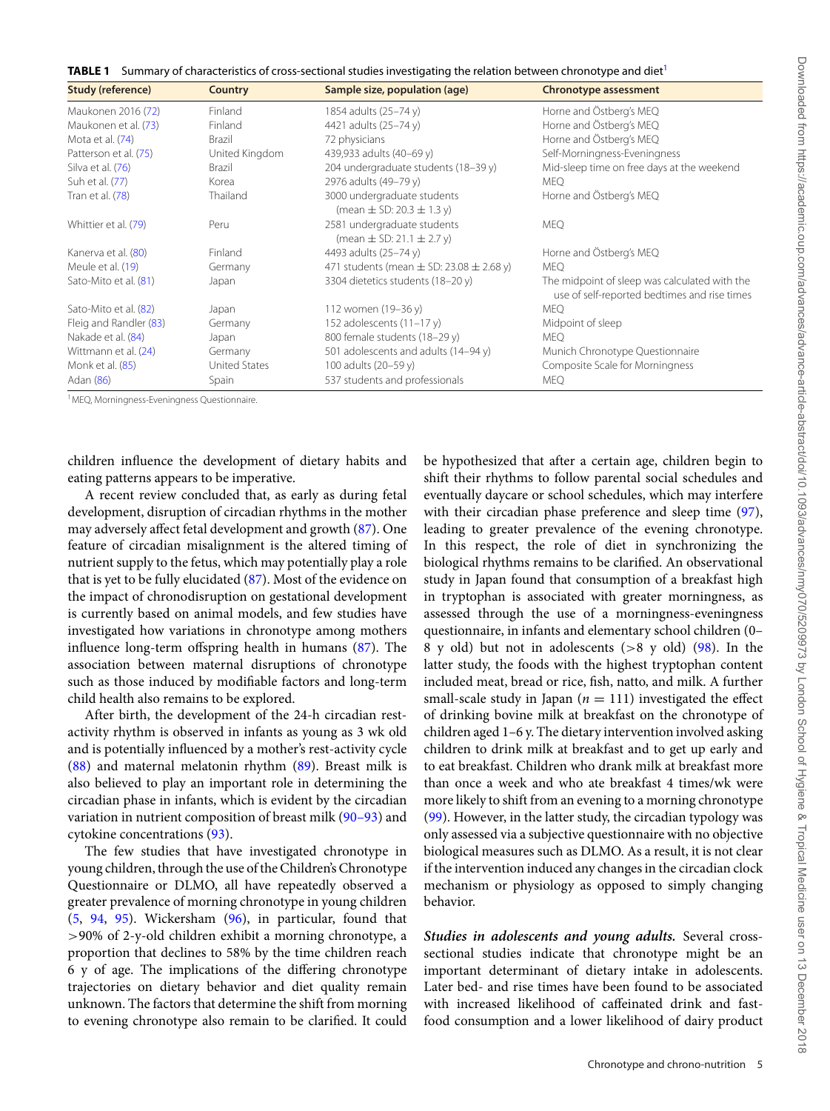<span id="page-4-0"></span>**TABLE 1** Summary of characteristics of cross-sectional studies investigating the relation between chronotype and diet<sup>1</sup>

| <b>Study (reference)</b> | <b>Country</b>       | Sample size, population (age)                                                         | Chronotype assessment                                                                         |
|--------------------------|----------------------|---------------------------------------------------------------------------------------|-----------------------------------------------------------------------------------------------|
| Maukonen 2016 (72)       | Finland              | 1854 adults (25-74 y)                                                                 | Horne and Östberg's MEQ                                                                       |
| Maukonen et al. (73)     | Finland              | 4421 adults (25-74 y)                                                                 | Horne and Östberg's MEQ                                                                       |
| Mota et al. (74)         | Brazil               | 72 physicians                                                                         | Horne and Östberg's MEQ                                                                       |
| Patterson et al. (75)    | United Kingdom       | 439,933 adults (40-69 y)                                                              | Self-Morningness-Eveningness                                                                  |
| Silva et al. (76)        | Brazil               | 204 undergraduate students (18-39 y)                                                  | Mid-sleep time on free days at the weekend                                                    |
| Suh et al. (77)          | Korea                | 2976 adults (49-79 y)                                                                 | <b>MEQ</b>                                                                                    |
| Tran et al. (78)         | Thailand             | 3000 undergraduate students<br>(mean $\pm$ SD: 20.3 $\pm$ 1.3 y)                      | Horne and Östberg's MEQ                                                                       |
| Whittier et al. (79)     | Peru                 | 2581 undergraduate students<br>$(\text{mean} \pm \text{SD: } 21.1 \pm 2.7 \text{ y})$ | <b>MEQ</b>                                                                                    |
| Kanerva et al. (80)      | Finland              | 4493 adults (25-74 y)                                                                 | Horne and Östberg's MEQ                                                                       |
| Meule et al. (19)        | Germany              | 471 students (mean $\pm$ SD: 23.08 $\pm$ 2.68 y)                                      | <b>MEQ</b>                                                                                    |
| Sato-Mito et al. (81)    | Japan                | 3304 dietetics students (18-20 y)                                                     | The midpoint of sleep was calculated with the<br>use of self-reported bedtimes and rise times |
| Sato-Mito et al. (82)    | Japan                | 112 women (19-36 y)                                                                   | <b>MEQ</b>                                                                                    |
| Fleig and Randler (83)   | Germany              | 152 adolescents (11-17 y)                                                             | Midpoint of sleep                                                                             |
| Nakade et al. (84)       | Japan                | 800 female students (18-29 y)                                                         | <b>MEQ</b>                                                                                    |
| Wittmann et al. (24)     | Germany              | 501 adolescents and adults (14-94 y)                                                  | Munich Chronotype Questionnaire                                                               |
| Monk et al. (85)         | <b>United States</b> | 100 adults $(20-59 \text{ y})$                                                        | Composite Scale for Morningness                                                               |
| Adan (86)                | Spain                | 537 students and professionals                                                        | MEQ.                                                                                          |

<span id="page-4-1"></span>1MEQ, Morningness-Eveningness Questionnaire.

children influence the development of dietary habits and eating patterns appears to be imperative.

A recent review concluded that, as early as during fetal development, disruption of circadian rhythms in the mother may adversely affect fetal development and growth [\(87\)](#page-11-26). One feature of circadian misalignment is the altered timing of nutrient supply to the fetus, which may potentially play a role that is yet to be fully elucidated [\(87\)](#page-11-26). Most of the evidence on the impact of chronodisruption on gestational development is currently based on animal models, and few studies have investigated how variations in chronotype among mothers influence long-term offspring health in humans [\(87\)](#page-11-26). The association between maternal disruptions of chronotype such as those induced by modifiable factors and long-term child health also remains to be explored.

After birth, the development of the 24-h circadian restactivity rhythm is observed in infants as young as 3 wk old and is potentially influenced by a mother's rest-activity cycle [\(88\)](#page-11-27) and maternal melatonin rhythm [\(89\)](#page-11-28). Breast milk is also believed to play an important role in determining the circadian phase in infants, which is evident by the circadian variation in nutrient composition of breast milk [\(90–93\)](#page-11-29) and cytokine concentrations [\(93\)](#page-11-30).

The few studies that have investigated chronotype in young children, through the use of the Children's Chronotype Questionnaire or DLMO, all have repeatedly observed a greater prevalence of morning chronotype in young children [\(5,](#page-9-1) [94,](#page-11-31) [95\)](#page-11-32). Wickersham [\(96\)](#page-11-33), in particular, found that >90% of 2-y-old children exhibit a morning chronotype, a proportion that declines to 58% by the time children reach 6 y of age. The implications of the differing chronotype trajectories on dietary behavior and diet quality remain unknown. The factors that determine the shift from morning to evening chronotype also remain to be clarified. It could be hypothesized that after a certain age, children begin to shift their rhythms to follow parental social schedules and eventually daycare or school schedules, which may interfere with their circadian phase preference and sleep time [\(97\)](#page-11-34), leading to greater prevalence of the evening chronotype. In this respect, the role of diet in synchronizing the biological rhythms remains to be clarified. An observational study in Japan found that consumption of a breakfast high in tryptophan is associated with greater morningness, as assessed through the use of a morningness-eveningness questionnaire, in infants and elementary school children (0– 8 y old) but not in adolescents  $(>8$  y old) [\(98\)](#page-11-35). In the latter study, the foods with the highest tryptophan content included meat, bread or rice, fish, natto, and milk. A further small-scale study in Japan ( $n = 111$ ) investigated the effect of drinking bovine milk at breakfast on the chronotype of children aged 1–6 y. The dietary intervention involved asking children to drink milk at breakfast and to get up early and to eat breakfast. Children who drank milk at breakfast more than once a week and who ate breakfast 4 times/wk were more likely to shift from an evening to a morning chronotype [\(99\)](#page-12-0). However, in the latter study, the circadian typology was only assessed via a subjective questionnaire with no objective biological measures such as DLMO. As a result, it is not clear if the intervention induced any changes in the circadian clock mechanism or physiology as opposed to simply changing behavior.

*Studies in adolescents and young adults.* Several crosssectional studies indicate that chronotype might be an important determinant of dietary intake in adolescents. Later bed- and rise times have been found to be associated with increased likelihood of caffeinated drink and fastfood consumption and a lower likelihood of dairy product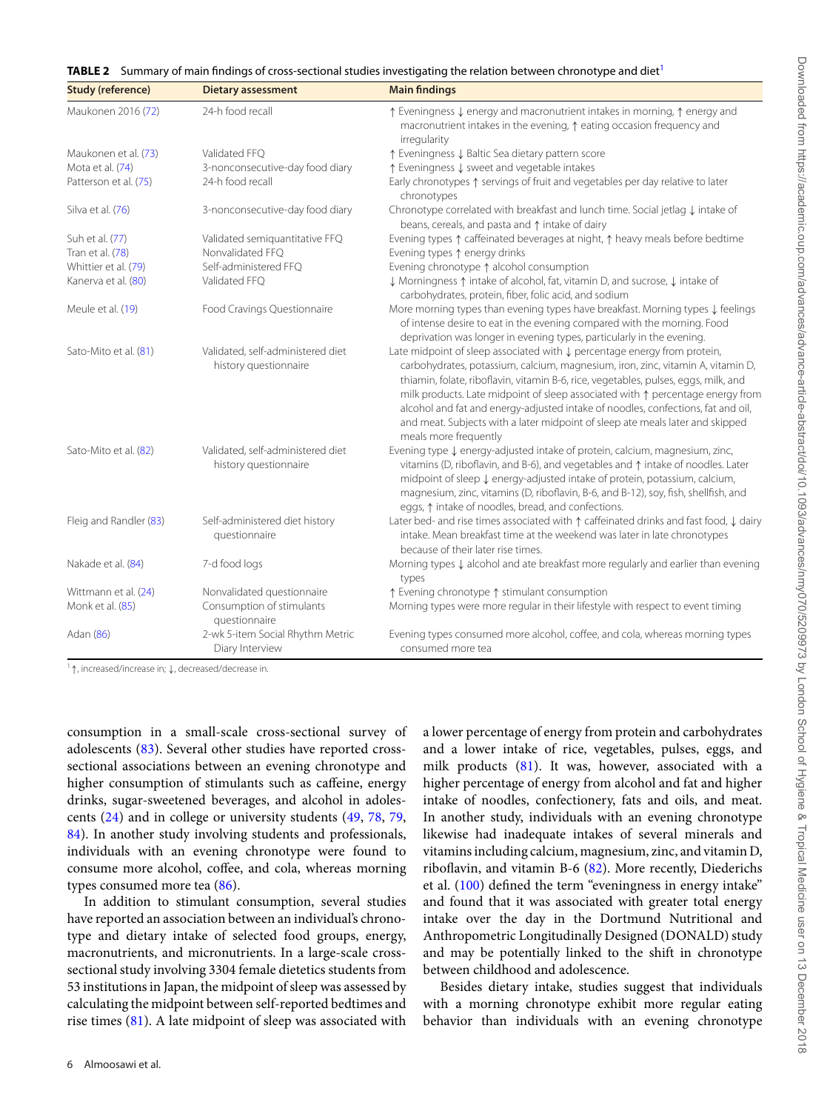<span id="page-5-0"></span>

|  |  | <b>TABLE 2</b> Summary of main findings of cross-sectional studies investigating the relation between chronotype and diet <sup>1</sup> |  |
|--|--|----------------------------------------------------------------------------------------------------------------------------------------|--|
|--|--|----------------------------------------------------------------------------------------------------------------------------------------|--|

| <b>Study (reference)</b> | <b>Dietary assessment</b>                                  | <b>Main findings</b>                                                                                                                                                                                                                                                                                                                                                                                                                                                                                                                        |
|--------------------------|------------------------------------------------------------|---------------------------------------------------------------------------------------------------------------------------------------------------------------------------------------------------------------------------------------------------------------------------------------------------------------------------------------------------------------------------------------------------------------------------------------------------------------------------------------------------------------------------------------------|
| Maukonen 2016 (72)       | 24-h food recall                                           | $\uparrow$ Eveningness $\downarrow$ energy and macronutrient intakes in morning, $\uparrow$ energy and<br>macronutrient intakes in the evening, $\uparrow$ eating occasion frequency and<br>irregularity                                                                                                                                                                                                                                                                                                                                    |
| Maukonen et al. (73)     | Validated FFQ                                              | ↑ Eveningness ↓ Baltic Sea dietary pattern score                                                                                                                                                                                                                                                                                                                                                                                                                                                                                            |
| Mota et al. (74)         | 3-nonconsecutive-day food diary                            | ↑ Eveningness ↓ sweet and vegetable intakes                                                                                                                                                                                                                                                                                                                                                                                                                                                                                                 |
| Patterson et al. (75)    | 24-h food recall                                           | Early chronotypes 1 servings of fruit and vegetables per day relative to later<br>chronotypes                                                                                                                                                                                                                                                                                                                                                                                                                                               |
| Silva et al. (76)        | 3-nonconsecutive-day food diary                            | Chronotype correlated with breakfast and lunch time. Social jetlag $\downarrow$ intake of<br>beans, cereals, and pasta and $\uparrow$ intake of dairy                                                                                                                                                                                                                                                                                                                                                                                       |
| Suh et al. (77)          | Validated semiquantitative FFQ                             | Evening types $\uparrow$ caffeinated beverages at night, $\uparrow$ heavy meals before bedtime                                                                                                                                                                                                                                                                                                                                                                                                                                              |
| Tran et al. (78)         | Nonvalidated FFO                                           | Evening types $\uparrow$ energy drinks                                                                                                                                                                                                                                                                                                                                                                                                                                                                                                      |
| Whittier et al. (79)     | Self-administered FFO                                      | Evening chronotype $\uparrow$ alcohol consumption                                                                                                                                                                                                                                                                                                                                                                                                                                                                                           |
| Kanerva et al. (80)      | Validated FFO                                              | ↓ Morningness ↑ intake of alcohol, fat, vitamin D, and sucrose, ↓ intake of<br>carbohydrates, protein, fiber, folic acid, and sodium                                                                                                                                                                                                                                                                                                                                                                                                        |
| Meule et al. (19)        | Food Cravings Questionnaire                                | More morning types than evening types have breakfast. Morning types $\downarrow$ feelings<br>of intense desire to eat in the evening compared with the morning. Food<br>deprivation was longer in evening types, particularly in the evening.                                                                                                                                                                                                                                                                                               |
| Sato-Mito et al. (81)    | Validated, self-administered diet<br>history questionnaire | Late midpoint of sleep associated with ↓ percentage energy from protein,<br>carbohydrates, potassium, calcium, magnesium, iron, zinc, vitamin A, vitamin D,<br>thiamin, folate, riboflavin, vitamin B-6, rice, vegetables, pulses, eggs, milk, and<br>milk products. Late midpoint of sleep associated with $\uparrow$ percentage energy from<br>alcohol and fat and energy-adjusted intake of noodles, confections, fat and oil,<br>and meat. Subjects with a later midpoint of sleep ate meals later and skipped<br>meals more frequently |
| Sato-Mito et al. (82)    | Validated, self-administered diet<br>history questionnaire | Evening type $\downarrow$ energy-adjusted intake of protein, calcium, magnesium, zinc,<br>vitamins (D, riboflavin, and B-6), and vegetables and $\uparrow$ intake of noodles. Later<br>midpoint of sleep ↓ energy-adjusted intake of protein, potassium, calcium,<br>magnesium, zinc, vitamins (D, riboflavin, B-6, and B-12), soy, fish, shellfish, and<br>eggs, $\uparrow$ intake of noodles, bread, and confections.                                                                                                                     |
| Fleig and Randler (83)   | Self-administered diet history<br>questionnaire            | Later bed- and rise times associated with ↑ caffeinated drinks and fast food, ↓ dairy<br>intake. Mean breakfast time at the weekend was later in late chronotypes<br>because of their later rise times.                                                                                                                                                                                                                                                                                                                                     |
| Nakade et al. (84)       | 7-d food logs                                              | Morning types $\downarrow$ alcohol and ate breakfast more regularly and earlier than evening<br>types                                                                                                                                                                                                                                                                                                                                                                                                                                       |
| Wittmann et al. (24)     | Nonvalidated questionnaire                                 | ↑ Evening chronotype ↑ stimulant consumption                                                                                                                                                                                                                                                                                                                                                                                                                                                                                                |
| Monk et al. (85)         | Consumption of stimulants<br>questionnaire                 | Morning types were more regular in their lifestyle with respect to event timing                                                                                                                                                                                                                                                                                                                                                                                                                                                             |
| Adan (86)                | 2-wk 5-item Social Rhythm Metric<br>Diary Interview        | Evening types consumed more alcohol, coffee, and cola, whereas morning types<br>consumed more tea                                                                                                                                                                                                                                                                                                                                                                                                                                           |

<span id="page-5-1"></span><sup>1</sup>↑, increased/increase in; <sup>↓</sup>, decreased/decrease in.

consumption in a small-scale cross-sectional survey of adolescents [\(83\)](#page-11-22). Several other studies have reported crosssectional associations between an evening chronotype and higher consumption of stimulants such as caffeine, energy drinks, sugar-sweetened beverages, and alcohol in adolescents [\(24\)](#page-10-3) and in college or university students [\(49,](#page-10-25) [78,](#page-11-18) [79,](#page-11-19) [84\)](#page-11-23). In another study involving students and professionals, individuals with an evening chronotype were found to consume more alcohol, coffee, and cola, whereas morning types consumed more tea [\(86\)](#page-11-25).

In addition to stimulant consumption, several studies have reported an association between an individual's chronotype and dietary intake of selected food groups, energy, macronutrients, and micronutrients. In a large-scale crosssectional study involving 3304 female dietetics students from 53 institutions in Japan, the midpoint of sleep was assessed by calculating the midpoint between self-reported bedtimes and rise times [\(81\)](#page-11-20). A late midpoint of sleep was associated with

a lower percentage of energy from protein and carbohydrates and a lower intake of rice, vegetables, pulses, eggs, and milk products [\(81\)](#page-11-20). It was, however, associated with a higher percentage of energy from alcohol and fat and higher intake of noodles, confectionery, fats and oils, and meat. In another study, individuals with an evening chronotype likewise had inadequate intakes of several minerals and vitamins including calcium, magnesium, zinc, and vitamin D, riboflavin, and vitamin B-6 [\(82\)](#page-11-21). More recently, Diederichs et al. [\(100\)](#page-12-1) defined the term "eveningness in energy intake" and found that it was associated with greater total energy intake over the day in the Dortmund Nutritional and Anthropometric Longitudinally Designed (DONALD) study and may be potentially linked to the shift in chronotype between childhood and adolescence.

Besides dietary intake, studies suggest that individuals with a morning chronotype exhibit more regular eating behavior than individuals with an evening chronotype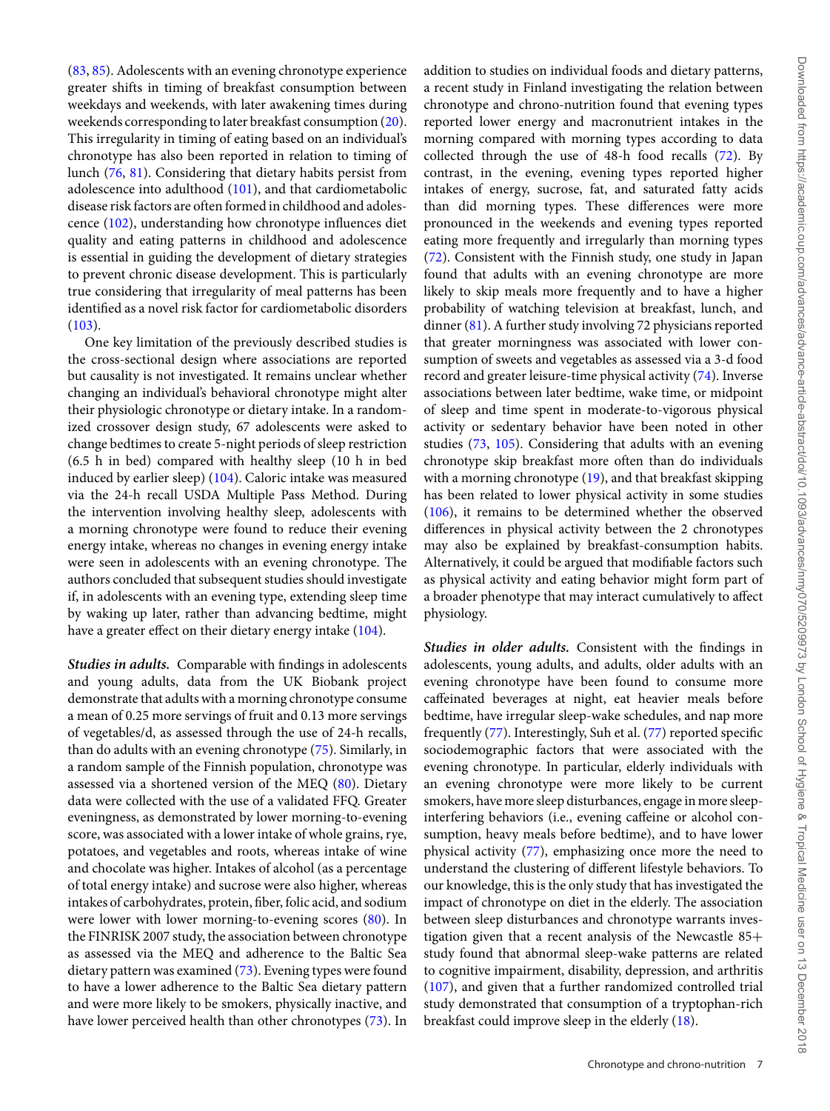[\(83,](#page-11-22) [85\)](#page-11-24). Adolescents with an evening chronotype experience greater shifts in timing of breakfast consumption between weekdays and weekends, with later awakening times during weekends corresponding to later breakfast consumption [\(20\)](#page-10-35). This irregularity in timing of eating based on an individual's chronotype has also been reported in relation to timing of lunch [\(76,](#page-11-17) [81\)](#page-11-20). Considering that dietary habits persist from adolescence into adulthood [\(101\)](#page-12-2), and that cardiometabolic disease risk factors are often formed in childhood and adolescence [\(102\)](#page-12-3), understanding how chronotype influences diet quality and eating patterns in childhood and adolescence is essential in guiding the development of dietary strategies to prevent chronic disease development. This is particularly true considering that irregularity of meal patterns has been identified as a novel risk factor for cardiometabolic disorders  $(103).$  $(103).$ 

One key limitation of the previously described studies is the cross-sectional design where associations are reported but causality is not investigated. It remains unclear whether changing an individual's behavioral chronotype might alter their physiologic chronotype or dietary intake. In a randomized crossover design study, 67 adolescents were asked to change bedtimes to create 5-night periods of sleep restriction (6.5 h in bed) compared with healthy sleep (10 h in bed induced by earlier sleep) [\(104\)](#page-12-5). Caloric intake was measured via the 24-h recall USDA Multiple Pass Method. During the intervention involving healthy sleep, adolescents with a morning chronotype were found to reduce their evening energy intake, whereas no changes in evening energy intake were seen in adolescents with an evening chronotype. The authors concluded that subsequent studies should investigate if, in adolescents with an evening type, extending sleep time by waking up later, rather than advancing bedtime, might have a greater effect on their dietary energy intake [\(104\)](#page-12-5).

*Studies in adults.* Comparable with findings in adolescents and young adults, data from the UK Biobank project demonstrate that adults with a morning chronotype consume a mean of 0.25 more servings of fruit and 0.13 more servings of vegetables/d, as assessed through the use of 24-h recalls, than do adults with an evening chronotype [\(75\)](#page-11-16). Similarly, in a random sample of the Finnish population, chronotype was assessed via a shortened version of the MEQ [\(80\)](#page-11-13). Dietary data were collected with the use of a validated FFQ. Greater eveningness, as demonstrated by lower morning-to-evening score, was associated with a lower intake of whole grains, rye, potatoes, and vegetables and roots, whereas intake of wine and chocolate was higher. Intakes of alcohol (as a percentage of total energy intake) and sucrose were also higher, whereas intakes of carbohydrates, protein, fiber, folic acid, and sodium were lower with lower morning-to-evening scores [\(80\)](#page-11-13). In the FINRISK 2007 study, the association between chronotype as assessed via the MEQ and adherence to the Baltic Sea dietary pattern was examined [\(73\)](#page-11-15). Evening types were found to have a lower adherence to the Baltic Sea dietary pattern and were more likely to be smokers, physically inactive, and have lower perceived health than other chronotypes [\(73\)](#page-11-15). In addition to studies on individual foods and dietary patterns, a recent study in Finland investigating the relation between chronotype and chrono-nutrition found that evening types reported lower energy and macronutrient intakes in the morning compared with morning types according to data collected through the use of 48-h food recalls [\(72\)](#page-11-14). By contrast, in the evening, evening types reported higher intakes of energy, sucrose, fat, and saturated fatty acids than did morning types. These differences were more pronounced in the weekends and evening types reported eating more frequently and irregularly than morning types [\(72\)](#page-11-14). Consistent with the Finnish study, one study in Japan found that adults with an evening chronotype are more likely to skip meals more frequently and to have a higher probability of watching television at breakfast, lunch, and dinner [\(81\)](#page-11-20). A further study involving 72 physicians reported that greater morningness was associated with lower consumption of sweets and vegetables as assessed via a 3-d food record and greater leisure-time physical activity [\(74\)](#page-11-11). Inverse associations between later bedtime, wake time, or midpoint of sleep and time spent in moderate-to-vigorous physical activity or sedentary behavior have been noted in other studies [\(73,](#page-11-15) [105\)](#page-12-6). Considering that adults with an evening chronotype skip breakfast more often than do individuals with a morning chronotype [\(19\)](#page-10-0), and that breakfast skipping has been related to lower physical activity in some studies [\(106\)](#page-12-7), it remains to be determined whether the observed differences in physical activity between the 2 chronotypes may also be explained by breakfast-consumption habits. Alternatively, it could be argued that modifiable factors such as physical activity and eating behavior might form part of a broader phenotype that may interact cumulatively to affect physiology.

*Studies in older adults.* Consistent with the findings in adolescents, young adults, and adults, older adults with an evening chronotype have been found to consume more caffeinated beverages at night, eat heavier meals before bedtime, have irregular sleep-wake schedules, and nap more frequently [\(77\)](#page-11-12). Interestingly, Suh et al. [\(77\)](#page-11-12) reported specific sociodemographic factors that were associated with the evening chronotype. In particular, elderly individuals with an evening chronotype were more likely to be current smokers, have more sleep disturbances, engage in more sleepinterfering behaviors (i.e., evening caffeine or alcohol consumption, heavy meals before bedtime), and to have lower physical activity [\(77\)](#page-11-12), emphasizing once more the need to understand the clustering of different lifestyle behaviors. To our knowledge, this is the only study that has investigated the impact of chronotype on diet in the elderly. The association between sleep disturbances and chronotype warrants investigation given that a recent analysis of the Newcastle 85+ study found that abnormal sleep-wake patterns are related to cognitive impairment, disability, depression, and arthritis [\(107\)](#page-12-8), and given that a further randomized controlled trial study demonstrated that consumption of a tryptophan-rich breakfast could improve sleep in the elderly [\(18\)](#page-9-11).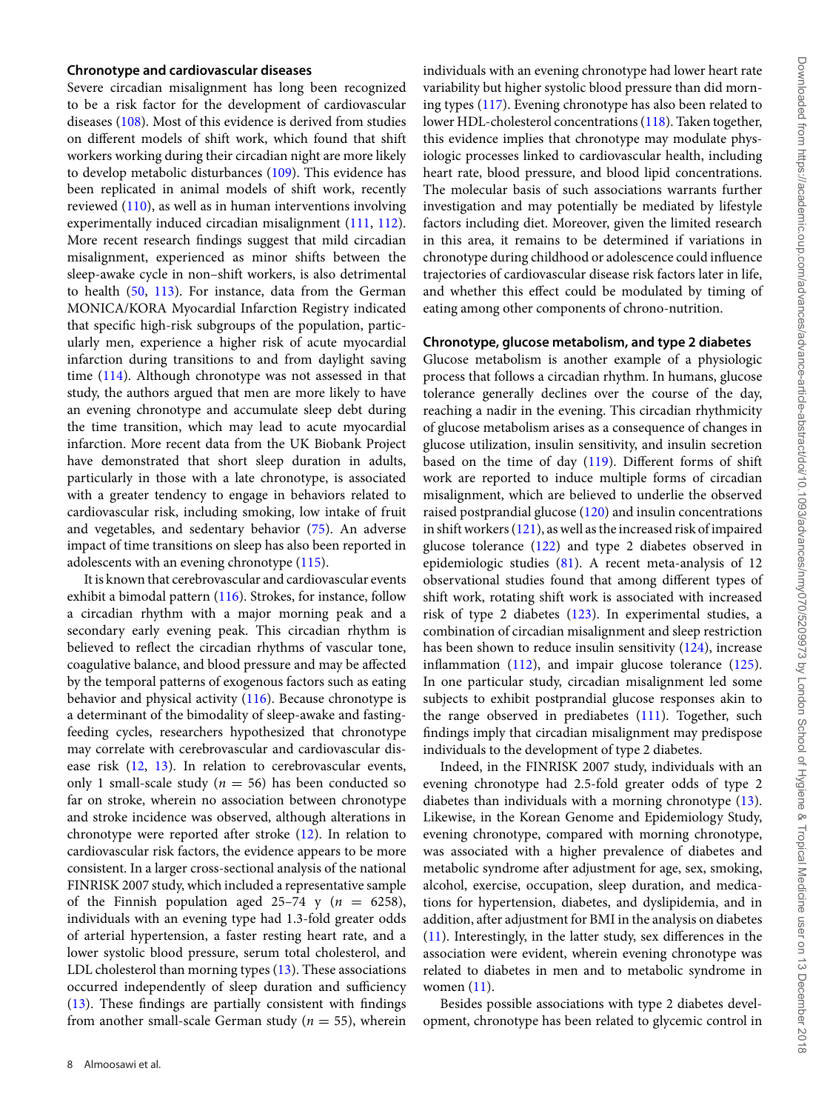to be a risk factor for the development of cardiovascular diseases [\(108\)](#page-12-9). Most of this evidence is derived from studies on different models of shift work, which found that shift workers working during their circadian night are more likely to develop metabolic disturbances [\(109\)](#page-12-10). This evidence has been replicated in animal models of shift work, recently reviewed [\(110\)](#page-12-11), as well as in human interventions involving experimentally induced circadian misalignment [\(111,](#page-12-12) [112\)](#page-12-13). More recent research findings suggest that mild circadian misalignment, experienced as minor shifts between the sleep-awake cycle in non–shift workers, is also detrimental to health [\(50,](#page-10-26) [113\)](#page-12-14). For instance, data from the German MONICA/KORA Myocardial Infarction Registry indicated that specific high-risk subgroups of the population, particularly men, experience a higher risk of acute myocardial infarction during transitions to and from daylight saving time [\(114\)](#page-12-15). Although chronotype was not assessed in that study, the authors argued that men are more likely to have an evening chronotype and accumulate sleep debt during the time transition, which may lead to acute myocardial infarction. More recent data from the UK Biobank Project have demonstrated that short sleep duration in adults, particularly in those with a late chronotype, is associated with a greater tendency to engage in behaviors related to cardiovascular risk, including smoking, low intake of fruit and vegetables, and sedentary behavior [\(75\)](#page-11-16). An adverse impact of time transitions on sleep has also been reported in adolescents with an evening chronotype [\(115\)](#page-12-16).

It is known that cerebrovascular and cardiovascular events exhibit a bimodal pattern [\(116\)](#page-12-17). Strokes, for instance, follow a circadian rhythm with a major morning peak and a secondary early evening peak. This circadian rhythm is believed to reflect the circadian rhythms of vascular tone, coagulative balance, and blood pressure and may be affected by the temporal patterns of exogenous factors such as eating behavior and physical activity [\(116\)](#page-12-17). Because chronotype is a determinant of the bimodality of sleep-awake and fastingfeeding cycles, researchers hypothesized that chronotype may correlate with cerebrovascular and cardiovascular disease risk [\(12,](#page-9-4) [13\)](#page-9-5). In relation to cerebrovascular events, only 1 small-scale study ( $n = 56$ ) has been conducted so far on stroke, wherein no association between chronotype and stroke incidence was observed, although alterations in chronotype were reported after stroke [\(12\)](#page-9-4). In relation to cardiovascular risk factors, the evidence appears to be more consistent. In a larger cross-sectional analysis of the national FINRISK 2007 study, which included a representative sample of the Finnish population aged 25–74 y  $(n = 6258)$ , individuals with an evening type had 1.3-fold greater odds of arterial hypertension, a faster resting heart rate, and a lower systolic blood pressure, serum total cholesterol, and LDL cholesterol than morning types [\(13\)](#page-9-5). These associations occurred independently of sleep duration and sufficiency [\(13\)](#page-9-5). These findings are partially consistent with findings from another small-scale German study (*n* <sup>=</sup> 55), wherein

individuals with an evening chronotype had lower heart rate variability but higher systolic blood pressure than did morning types [\(117\)](#page-12-18). Evening chronotype has also been related to lower HDL-cholesterol concentrations [\(118\)](#page-12-19). Taken together, this evidence implies that chronotype may modulate physiologic processes linked to cardiovascular health, including heart rate, blood pressure, and blood lipid concentrations. The molecular basis of such associations warrants further investigation and may potentially be mediated by lifestyle factors including diet. Moreover, given the limited research in this area, it remains to be determined if variations in chronotype during childhood or adolescence could influence trajectories of cardiovascular disease risk factors later in life, and whether this effect could be modulated by timing of eating among other components of chrono-nutrition.

# **Chronotype, glucose metabolism, and type 2 diabetes**

Glucose metabolism is another example of a physiologic process that follows a circadian rhythm. In humans, glucose tolerance generally declines over the course of the day, reaching a nadir in the evening. This circadian rhythmicity of glucose metabolism arises as a consequence of changes in glucose utilization, insulin sensitivity, and insulin secretion based on the time of day [\(119\)](#page-12-20). Different forms of shift work are reported to induce multiple forms of circadian misalignment, which are believed to underlie the observed raised postprandial glucose [\(120\)](#page-12-21) and insulin concentrations in shift workers  $(121)$ , as well as the increased risk of impaired glucose tolerance [\(122\)](#page-12-23) and type 2 diabetes observed in epidemiologic studies  $(81)$ . A recent meta-analysis of 12 observational studies found that among different types of shift work, rotating shift work is associated with increased risk of type 2 diabetes [\(123\)](#page-12-24). In experimental studies, a combination of circadian misalignment and sleep restriction has been shown to reduce insulin sensitivity [\(124\)](#page-12-25), increase inflammation [\(112\)](#page-12-13), and impair glucose tolerance [\(125\)](#page-12-26). In one particular study, circadian misalignment led some subjects to exhibit postprandial glucose responses akin to the range observed in prediabetes [\(111\)](#page-12-12). Together, such findings imply that circadian misalignment may predispose individuals to the development of type 2 diabetes.

Indeed, in the FINRISK 2007 study, individuals with an evening chronotype had 2.5-fold greater odds of type 2 diabetes than individuals with a morning chronotype [\(13\)](#page-9-5). Likewise, in the Korean Genome and Epidemiology Study, evening chronotype, compared with morning chronotype, was associated with a higher prevalence of diabetes and metabolic syndrome after adjustment for age, sex, smoking, alcohol, exercise, occupation, sleep duration, and medications for hypertension, diabetes, and dyslipidemia, and in addition, after adjustment for BMI in the analysis on diabetes [\(11\)](#page-9-3). Interestingly, in the latter study, sex differences in the association were evident, wherein evening chronotype was related to diabetes in men and to metabolic syndrome in women [\(11\)](#page-9-3).

Besides possible associations with type 2 diabetes development, chronotype has been related to glycemic control in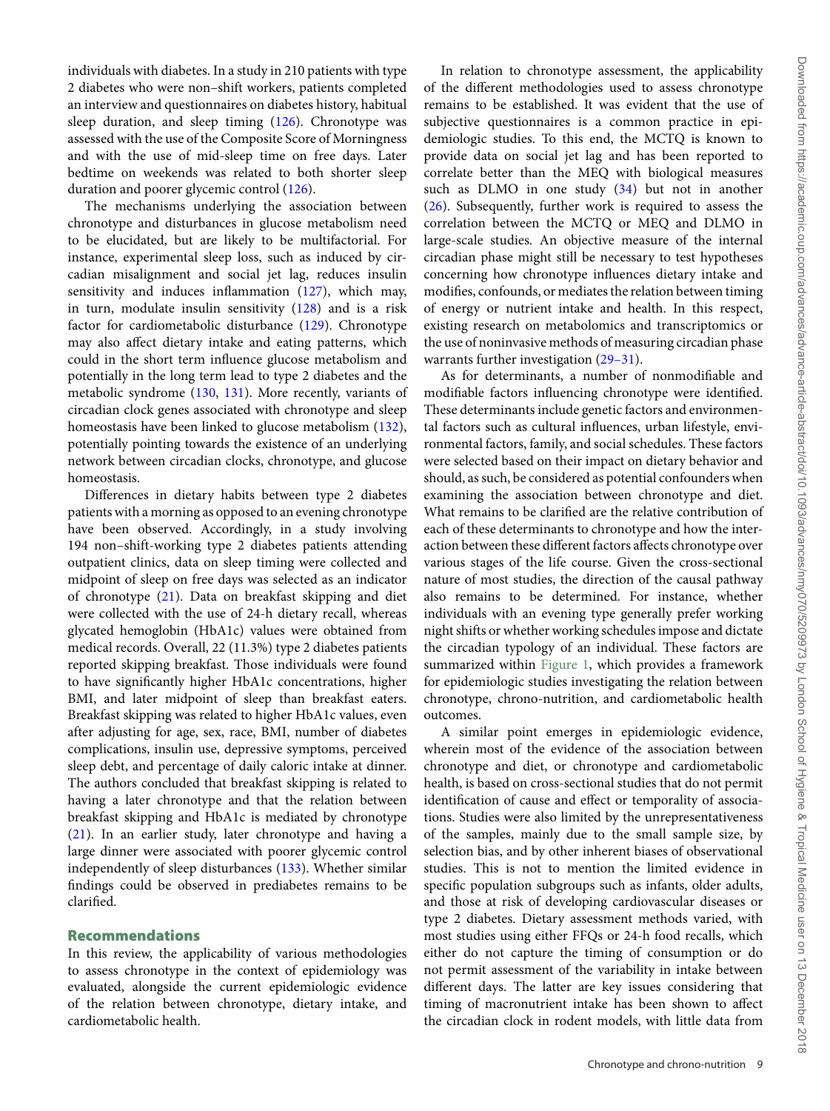individuals with diabetes. In a study in 210 patients with type 2 diabetes who were non–shift workers, patients completed an interview and questionnaires on diabetes history, habitual sleep duration, and sleep timing [\(126\)](#page-12-27). Chronotype was assessed with the use of the Composite Score of Morningness and with the use of mid-sleep time on free days. Later bedtime on weekends was related to both shorter sleep duration and poorer glycemic control [\(126\)](#page-12-27).

The mechanisms underlying the association between chronotype and disturbances in glucose metabolism need to be elucidated, but are likely to be multifactorial. For instance, experimental sleep loss, such as induced by circadian misalignment and social jet lag, reduces insulin sensitivity and induces inflammation [\(127\)](#page-12-28), which may, in turn, modulate insulin sensitivity [\(128\)](#page-12-29) and is a risk factor for cardiometabolic disturbance [\(129\)](#page-12-30). Chronotype may also affect dietary intake and eating patterns, which could in the short term influence glucose metabolism and potentially in the long term lead to type 2 diabetes and the metabolic syndrome [\(130,](#page-12-31) [131\)](#page-12-32). More recently, variants of circadian clock genes associated with chronotype and sleep homeostasis have been linked to glucose metabolism [\(132\)](#page-12-33), potentially pointing towards the existence of an underlying network between circadian clocks, chronotype, and glucose homeostasis.

Differences in dietary habits between type 2 diabetes patients with a morning as opposed to an evening chronotype have been observed. Accordingly, in a study involving 194 non–shift-working type 2 diabetes patients attending outpatient clinics, data on sleep timing were collected and midpoint of sleep on free days was selected as an indicator of chronotype [\(21\)](#page-10-36). Data on breakfast skipping and diet were collected with the use of 24-h dietary recall, whereas glycated hemoglobin (HbA1c) values were obtained from medical records. Overall, 22 (11.3%) type 2 diabetes patients reported skipping breakfast. Those individuals were found to have significantly higher HbA1c concentrations, higher BMI, and later midpoint of sleep than breakfast eaters. Breakfast skipping was related to higher HbA1c values, even after adjusting for age, sex, race, BMI, number of diabetes complications, insulin use, depressive symptoms, perceived sleep debt, and percentage of daily caloric intake at dinner. The authors concluded that breakfast skipping is related to having a later chronotype and that the relation between breakfast skipping and HbA1c is mediated by chronotype [\(21\)](#page-10-36). In an earlier study, later chronotype and having a large dinner were associated with poorer glycemic control independently of sleep disturbances [\(133\)](#page-12-34). Whether similar findings could be observed in prediabetes remains to be clarified.

### **Recommendations**

In this review, the applicability of various methodologies to assess chronotype in the context of epidemiology was evaluated, alongside the current epidemiologic evidence of the relation between chronotype, dietary intake, and cardiometabolic health.

In relation to chronotype assessment, the applicability of the different methodologies used to assess chronotype remains to be established. It was evident that the use of subjective questionnaires is a common practice in epidemiologic studies. To this end, the MCTQ is known to provide data on social jet lag and has been reported to correlate better than the MEQ with biological measures such as DLMO in one study  $(34)$  but not in another [\(26\)](#page-10-5). Subsequently, further work is required to assess the correlation between the MCTQ or MEQ and DLMO in large-scale studies. An objective measure of the internal circadian phase might still be necessary to test hypotheses concerning how chronotype influences dietary intake and modifies, confounds, or mediates the relation between timing of energy or nutrient intake and health. In this respect, existing research on metabolomics and transcriptomics or the use of noninvasive methods of measuring circadian phase warrants further investigation [\(29–31\)](#page-10-8).

As for determinants, a number of nonmodifiable and modifiable factors influencing chronotype were identified. These determinants include genetic factors and environmental factors such as cultural influences, urban lifestyle, environmental factors, family, and social schedules. These factors were selected based on their impact on dietary behavior and should, as such, be considered as potential confounders when examining the association between chronotype and diet. What remains to be clarified are the relative contribution of each of these determinants to chronotype and how the interaction between these different factors affects chronotype over various stages of the life course. Given the cross-sectional nature of most studies, the direction of the causal pathway also remains to be determined. For instance, whether individuals with an evening type generally prefer working night shifts or whether working schedules impose and dictate the circadian typology of an individual. These factors are summarized within [Figure 1,](#page-2-0) which provides a framework for epidemiologic studies investigating the relation between chronotype, chrono-nutrition, and cardiometabolic health outcomes.

A similar point emerges in epidemiologic evidence, wherein most of the evidence of the association between chronotype and diet, or chronotype and cardiometabolic health, is based on cross-sectional studies that do not permit identification of cause and effect or temporality of associations. Studies were also limited by the unrepresentativeness of the samples, mainly due to the small sample size, by selection bias, and by other inherent biases of observational studies. This is not to mention the limited evidence in specific population subgroups such as infants, older adults, and those at risk of developing cardiovascular diseases or type 2 diabetes. Dietary assessment methods varied, with most studies using either FFQs or 24-h food recalls, which either do not capture the timing of consumption or do not permit assessment of the variability in intake between different days. The latter are key issues considering that timing of macronutrient intake has been shown to affect the circadian clock in rodent models, with little data from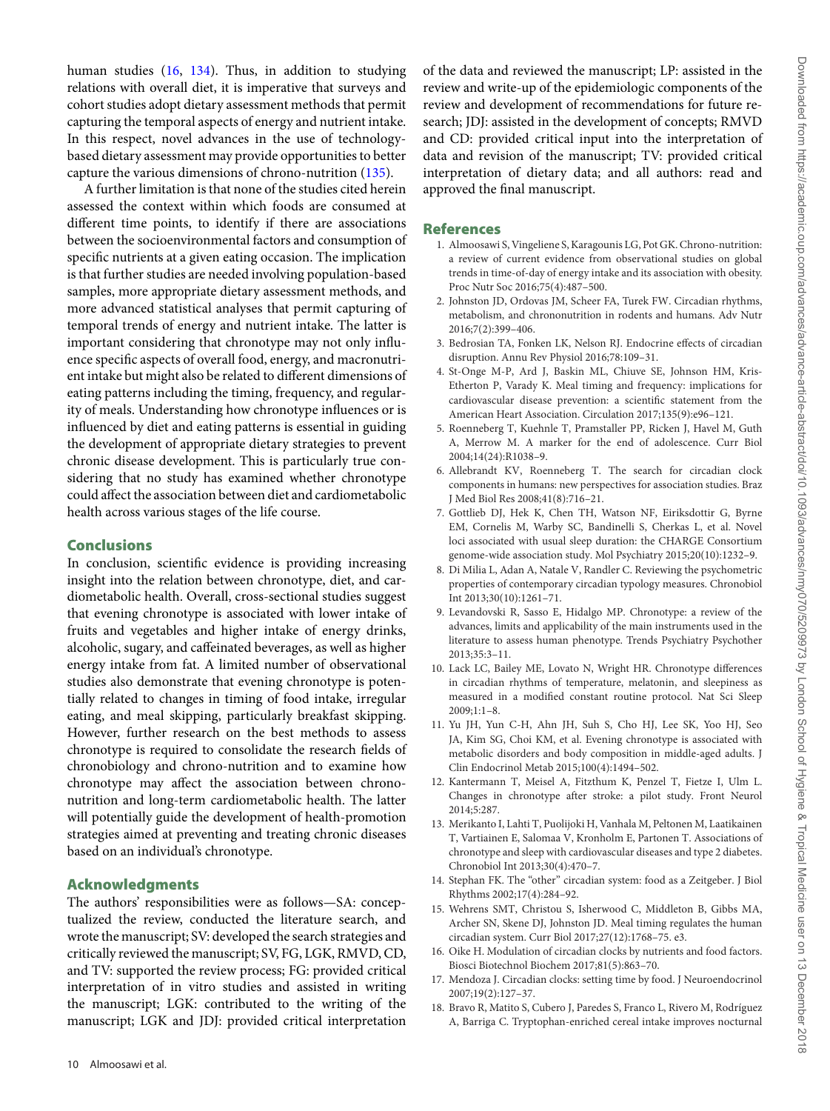human studies [\(16,](#page-9-9) [134\)](#page-12-35). Thus, in addition to studying relations with overall diet, it is imperative that surveys and cohort studies adopt dietary assessment methods that permit capturing the temporal aspects of energy and nutrient intake. In this respect, novel advances in the use of technologybased dietary assessment may provide opportunities to better capture the various dimensions of chrono-nutrition [\(135\)](#page-12-36).

A further limitation is that none of the studies cited herein assessed the context within which foods are consumed at different time points, to identify if there are associations between the socioenvironmental factors and consumption of specific nutrients at a given eating occasion. The implication is that further studies are needed involving population-based samples, more appropriate dietary assessment methods, and more advanced statistical analyses that permit capturing of temporal trends of energy and nutrient intake. The latter is important considering that chronotype may not only influence specific aspects of overall food, energy, and macronutrient intake but might also be related to different dimensions of eating patterns including the timing, frequency, and regularity of meals. Understanding how chronotype influences or is influenced by diet and eating patterns is essential in guiding the development of appropriate dietary strategies to prevent chronic disease development. This is particularly true considering that no study has examined whether chronotype could affect the association between diet and cardiometabolic health across various stages of the life course.

## **Conclusions**

In conclusion, scientific evidence is providing increasing insight into the relation between chronotype, diet, and cardiometabolic health. Overall, cross-sectional studies suggest that evening chronotype is associated with lower intake of fruits and vegetables and higher intake of energy drinks, alcoholic, sugary, and caffeinated beverages, as well as higher energy intake from fat. A limited number of observational studies also demonstrate that evening chronotype is potentially related to changes in timing of food intake, irregular eating, and meal skipping, particularly breakfast skipping. However, further research on the best methods to assess chronotype is required to consolidate the research fields of chronobiology and chrono-nutrition and to examine how chronotype may affect the association between chrononutrition and long-term cardiometabolic health. The latter will potentially guide the development of health-promotion strategies aimed at preventing and treating chronic diseases based on an individual's chronotype.

### **Acknowledgments**

The authors' responsibilities were as follows—SA: conceptualized the review, conducted the literature search, and wrote the manuscript; SV: developed the search strategies and critically reviewed the manuscript; SV, FG, LGK, RMVD, CD, and TV: supported the review process; FG: provided critical interpretation of in vitro studies and assisted in writing the manuscript; LGK: contributed to the writing of the manuscript; LGK and JDJ: provided critical interpretation of the data and reviewed the manuscript; LP: assisted in the review and write-up of the epidemiologic components of the review and development of recommendations for future research; JDJ: assisted in the development of concepts; RMVD and CD: provided critical input into the interpretation of data and revision of the manuscript; TV: provided critical interpretation of dietary data; and all authors: read and approved the final manuscript.

### <span id="page-9-0"></span>**References**

- 1. Almoosawi S, Vingeliene S, Karagounis LG, Pot GK. Chrono-nutrition: a review of current evidence from observational studies on global trends in time-of-day of energy intake and its association with obesity. Proc Nutr Soc 2016;75(4):487–500.
- <span id="page-9-7"></span>2. Johnston JD, Ordovas JM, Scheer FA, Turek FW. Circadian rhythms, metabolism, and chrononutrition in rodents and humans. Adv Nutr 2016;7(2):399–406.
- 3. Bedrosian TA, Fonken LK, Nelson RJ. Endocrine effects of circadian disruption. Annu Rev Physiol 2016;78:109–31.
- 4. St-Onge M-P, Ard J, Baskin ML, Chiuve SE, Johnson HM, Kris-Etherton P, Varady K. Meal timing and frequency: implications for cardiovascular disease prevention: a scientific statement from the American Heart Association. Circulation 2017;135(9):e96–121.
- <span id="page-9-1"></span>5. Roenneberg T, Kuehnle T, Pramstaller PP, Ricken J, Havel M, Guth A, Merrow M. A marker for the end of adolescence. Curr Biol 2004;14(24):R1038–9.
- <span id="page-9-14"></span>6. Allebrandt KV, Roenneberg T. The search for circadian clock components in humans: new perspectives for association studies. Braz J Med Biol Res 2008;41(8):716–21.
- 7. Gottlieb DJ, Hek K, Chen TH, Watson NF, Eiriksdottir G, Byrne EM, Cornelis M, Warby SC, Bandinelli S, Cherkas L, et al. Novel loci associated with usual sleep duration: the CHARGE Consortium genome-wide association study. Mol Psychiatry 2015;20(10):1232–9.
- <span id="page-9-12"></span>8. Di Milia L, Adan A, Natale V, Randler C. Reviewing the psychometric properties of contemporary circadian typology measures. Chronobiol Int 2013;30(10):1261–71.
- <span id="page-9-13"></span>9. Levandovski R, Sasso E, Hidalgo MP. Chronotype: a review of the advances, limits and applicability of the main instruments used in the literature to assess human phenotype. Trends Psychiatry Psychother 2013;35:3–11.
- <span id="page-9-2"></span>10. Lack LC, Bailey ME, Lovato N, Wright HR. Chronotype differences in circadian rhythms of temperature, melatonin, and sleepiness as measured in a modified constant routine protocol. Nat Sci Sleep 2009;1:1–8.
- <span id="page-9-3"></span>11. Yu JH, Yun C-H, Ahn JH, Suh S, Cho HJ, Lee SK, Yoo HJ, Seo JA, Kim SG, Choi KM, et al. Evening chronotype is associated with metabolic disorders and body composition in middle-aged adults. J Clin Endocrinol Metab 2015;100(4):1494–502.
- <span id="page-9-4"></span>12. Kantermann T, Meisel A, Fitzthum K, Penzel T, Fietze I, Ulm L. Changes in chronotype after stroke: a pilot study. Front Neurol 2014;5:287.
- <span id="page-9-5"></span>13. Merikanto I, Lahti T, Puolijoki H, Vanhala M, Peltonen M, Laatikainen T, Vartiainen E, Salomaa V, Kronholm E, Partonen T. Associations of chronotype and sleep with cardiovascular diseases and type 2 diabetes. Chronobiol Int 2013;30(4):470–7.
- <span id="page-9-6"></span>14. Stephan FK. The "other" circadian system: food as a Zeitgeber. J Biol Rhythms 2002;17(4):284–92.
- <span id="page-9-8"></span>15. Wehrens SMT, Christou S, Isherwood C, Middleton B, Gibbs MA, Archer SN, Skene DJ, Johnston JD. Meal timing regulates the human circadian system. Curr Biol 2017;27(12):1768–75. e3.
- <span id="page-9-9"></span>16. Oike H. Modulation of circadian clocks by nutrients and food factors. Biosci Biotechnol Biochem 2017;81(5):863–70.
- <span id="page-9-10"></span>17. Mendoza J. Circadian clocks: setting time by food. J Neuroendocrinol 2007;19(2):127–37.
- <span id="page-9-11"></span>18. Bravo R, Matito S, Cubero J, Paredes S, Franco L, Rivero M, Rodríguez A, Barriga C. Tryptophan-enriched cereal intake improves nocturnal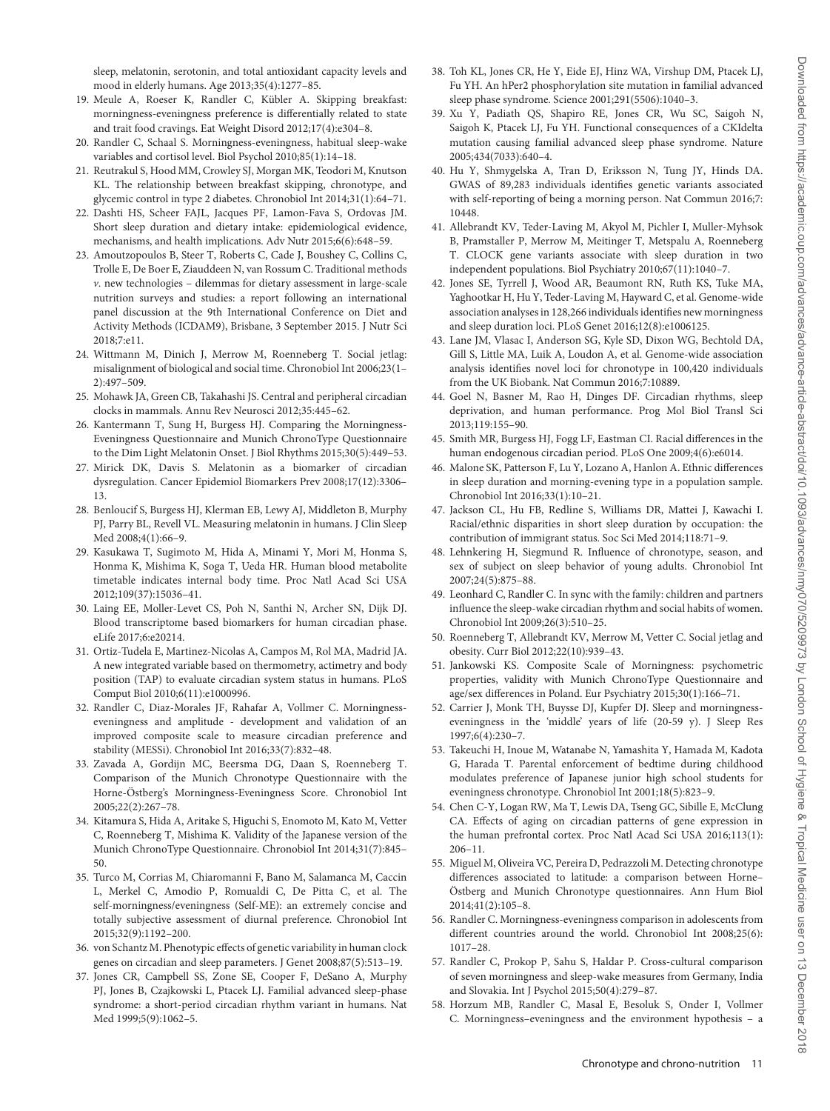sleep, melatonin, serotonin, and total antioxidant capacity levels and mood in elderly humans. Age 2013;35(4):1277–85.

- <span id="page-10-0"></span>19. Meule A, Roeser K, Randler C, Kübler A. Skipping breakfast: morningness-eveningness preference is differentially related to state and trait food cravings. Eat Weight Disord 2012;17(4):e304–8.
- <span id="page-10-35"></span>20. Randler C, Schaal S. Morningness-eveningness, habitual sleep-wake variables and cortisol level. Biol Psychol 2010;85(1):14–18.
- <span id="page-10-36"></span>21. Reutrakul S, Hood MM, Crowley SJ, Morgan MK, Teodori M, Knutson KL. The relationship between breakfast skipping, chronotype, and glycemic control in type 2 diabetes. Chronobiol Int 2014;31(1):64–71.
- <span id="page-10-1"></span>22. Dashti HS, Scheer FAJL, Jacques PF, Lamon-Fava S, Ordovas JM. Short sleep duration and dietary intake: epidemiological evidence, mechanisms, and health implications. Adv Nutr 2015;6(6):648–59.
- <span id="page-10-2"></span>23. Amoutzopoulos B, Steer T, Roberts C, Cade J, Boushey C, Collins C, Trolle E, De Boer E, Ziauddeen N, van Rossum C. Traditional methods *v*. new technologies – dilemmas for dietary assessment in large-scale nutrition surveys and studies: a report following an international panel discussion at the 9th International Conference on Diet and Activity Methods (ICDAM9), Brisbane, 3 September 2015. J Nutr Sci 2018;7:e11.
- <span id="page-10-3"></span>24. Wittmann M, Dinich J, Merrow M, Roenneberg T. Social jetlag: misalignment of biological and social time. Chronobiol Int 2006;23(1– 2):497–509.
- <span id="page-10-4"></span>25. Mohawk JA, Green CB, Takahashi JS. Central and peripheral circadian clocks in mammals. Annu Rev Neurosci 2012;35:445–62.
- <span id="page-10-5"></span>26. Kantermann T, Sung H, Burgess HJ. Comparing the Morningness-Eveningness Questionnaire and Munich ChronoType Questionnaire to the Dim Light Melatonin Onset. J Biol Rhythms 2015;30(5):449–53.
- <span id="page-10-6"></span>27. Mirick DK, Davis S. Melatonin as a biomarker of circadian dysregulation. Cancer Epidemiol Biomarkers Prev 2008;17(12):3306– 13.
- <span id="page-10-7"></span>28. Benloucif S, Burgess HJ, Klerman EB, Lewy AJ, Middleton B, Murphy PJ, Parry BL, Revell VL. Measuring melatonin in humans. J Clin Sleep Med 2008;4(1):66–9.
- <span id="page-10-8"></span>29. Kasukawa T, Sugimoto M, Hida A, Minami Y, Mori M, Honma S, Honma K, Mishima K, Soga T, Ueda HR. Human blood metabolite timetable indicates internal body time. Proc Natl Acad Sci USA 2012;109(37):15036–41.
- <span id="page-10-9"></span>30. Laing EE, Moller-Levet CS, Poh N, Santhi N, Archer SN, Dijk DJ. Blood transcriptome based biomarkers for human circadian phase. eLife 2017;6:e20214.
- <span id="page-10-10"></span>31. Ortiz-Tudela E, Martinez-Nicolas A, Campos M, Rol MA, Madrid JA. A new integrated variable based on thermometry, actimetry and body position (TAP) to evaluate circadian system status in humans. PLoS Comput Biol 2010;6(11):e1000996.
- <span id="page-10-11"></span>32. Randler C, Diaz-Morales JF, Rahafar A, Vollmer C. Morningnesseveningness and amplitude - development and validation of an improved composite scale to measure circadian preference and stability (MESSi). Chronobiol Int 2016;33(7):832–48.
- <span id="page-10-12"></span>33. Zavada A, Gordijn MC, Beersma DG, Daan S, Roenneberg T. Comparison of the Munich Chronotype Questionnaire with the Horne-Östberg's Morningness-Eveningness Score. Chronobiol Int 2005;22(2):267–78.
- <span id="page-10-13"></span>34. Kitamura S, Hida A, Aritake S, Higuchi S, Enomoto M, Kato M, Vetter C, Roenneberg T, Mishima K. Validity of the Japanese version of the Munich ChronoType Questionnaire. Chronobiol Int 2014;31(7):845– 50.
- <span id="page-10-14"></span>35. Turco M, Corrias M, Chiaromanni F, Bano M, Salamanca M, Caccin L, Merkel C, Amodio P, Romualdi C, De Pitta C, et al. The self-morningness/eveningness (Self-ME): an extremely concise and totally subjective assessment of diurnal preference. Chronobiol Int 2015;32(9):1192–200.
- <span id="page-10-15"></span>36. von Schantz M. Phenotypic effects of genetic variability in human clock genes on circadian and sleep parameters. J Genet 2008;87(5):513–19.
- <span id="page-10-16"></span>37. Jones CR, Campbell SS, Zone SE, Cooper F, DeSano A, Murphy PJ, Jones B, Czajkowski L, Ptacek LJ. Familial advanced sleep-phase syndrome: a short-period circadian rhythm variant in humans. Nat Med 1999;5(9):1062–5.
- <span id="page-10-17"></span>38. Toh KL, Jones CR, He Y, Eide EJ, Hinz WA, Virshup DM, Ptacek LJ, Fu YH. An hPer2 phosphorylation site mutation in familial advanced sleep phase syndrome. Science 2001;291(5506):1040–3.
- <span id="page-10-18"></span>39. Xu Y, Padiath QS, Shapiro RE, Jones CR, Wu SC, Saigoh N, Saigoh K, Ptacek LJ, Fu YH. Functional consequences of a CKIdelta mutation causing familial advanced sleep phase syndrome. Nature 2005;434(7033):640–4.
- <span id="page-10-19"></span>40. Hu Y, Shmygelska A, Tran D, Eriksson N, Tung JY, Hinds DA. GWAS of 89,283 individuals identifies genetic variants associated with self-reporting of being a morning person. Nat Commun 2016;7: 10448.
- 41. Allebrandt KV, Teder-Laving M, Akyol M, Pichler I, Muller-Myhsok B, Pramstaller P, Merrow M, Meitinger T, Metspalu A, Roenneberg T. CLOCK gene variants associate with sleep duration in two independent populations. Biol Psychiatry 2010;67(11):1040–7.
- 42. Jones SE, Tyrrell J, Wood AR, Beaumont RN, Ruth KS, Tuke MA, Yaghootkar H, Hu Y, Teder-Laving M, Hayward C, et al. Genome-wide association analyses in 128,266 individuals identifies new morningness and sleep duration loci. PLoS Genet 2016;12(8):e1006125.
- 43. Lane JM, Vlasac I, Anderson SG, Kyle SD, Dixon WG, Bechtold DA, Gill S, Little MA, Luik A, Loudon A, et al. Genome-wide association analysis identifies novel loci for chronotype in 100,420 individuals from the UK Biobank. Nat Commun 2016;7:10889.
- <span id="page-10-20"></span>44. Goel N, Basner M, Rao H, Dinges DF. Circadian rhythms, sleep deprivation, and human performance. Prog Mol Biol Transl Sci 2013;119:155–90.
- <span id="page-10-21"></span>45. Smith MR, Burgess HJ, Fogg LF, Eastman CI. Racial differences in the human endogenous circadian period. PLoS One 2009;4(6):e6014.
- <span id="page-10-22"></span>46. Malone SK, Patterson F, Lu Y, Lozano A, Hanlon A. Ethnic differences in sleep duration and morning-evening type in a population sample. Chronobiol Int 2016;33(1):10–21.
- <span id="page-10-23"></span>47. Jackson CL, Hu FB, Redline S, Williams DR, Mattei J, Kawachi I. Racial/ethnic disparities in short sleep duration by occupation: the contribution of immigrant status. Soc Sci Med 2014;118:71–9.
- <span id="page-10-24"></span>48. Lehnkering H, Siegmund R. Influence of chronotype, season, and sex of subject on sleep behavior of young adults. Chronobiol Int 2007;24(5):875–88.
- <span id="page-10-25"></span>49. Leonhard C, Randler C. In sync with the family: children and partners influence the sleep-wake circadian rhythm and social habits of women. Chronobiol Int 2009;26(3):510–25.
- <span id="page-10-26"></span>50. Roenneberg T, Allebrandt KV, Merrow M, Vetter C. Social jetlag and obesity. Curr Biol 2012;22(10):939–43.
- <span id="page-10-27"></span>51. Jankowski KS. Composite Scale of Morningness: psychometric properties, validity with Munich ChronoType Questionnaire and age/sex differences in Poland. Eur Psychiatry 2015;30(1):166–71.
- <span id="page-10-28"></span>52. Carrier J, Monk TH, Buysse DJ, Kupfer DJ. Sleep and morningnesseveningness in the 'middle' years of life (20-59 y). J Sleep Res 1997;6(4):230–7.
- <span id="page-10-29"></span>53. Takeuchi H, Inoue M, Watanabe N, Yamashita Y, Hamada M, Kadota G, Harada T. Parental enforcement of bedtime during childhood modulates preference of Japanese junior high school students for eveningness chronotype. Chronobiol Int 2001;18(5):823–9.
- <span id="page-10-30"></span>54. Chen C-Y, Logan RW, Ma T, Lewis DA, Tseng GC, Sibille E, McClung CA. Effects of aging on circadian patterns of gene expression in the human prefrontal cortex. Proc Natl Acad Sci USA 2016;113(1): 206–11.
- <span id="page-10-31"></span>55. Miguel M, Oliveira VC, Pereira D, Pedrazzoli M. Detecting chronotype differences associated to latitude: a comparison between Horne– Östberg and Munich Chronotype questionnaires. Ann Hum Biol 2014;41(2):105–8.
- <span id="page-10-32"></span>56. Randler C. Morningness-eveningness comparison in adolescents from different countries around the world. Chronobiol Int 2008;25(6): 1017–28.
- <span id="page-10-33"></span>57. Randler C, Prokop P, Sahu S, Haldar P. Cross-cultural comparison of seven morningness and sleep-wake measures from Germany, India and Slovakia. Int J Psychol 2015;50(4):279–87.
- <span id="page-10-34"></span>58. Horzum MB, Randler C, Masal E, Besoluk S, Onder I, Vollmer C. Morningness–eveningness and the environment hypothesis – a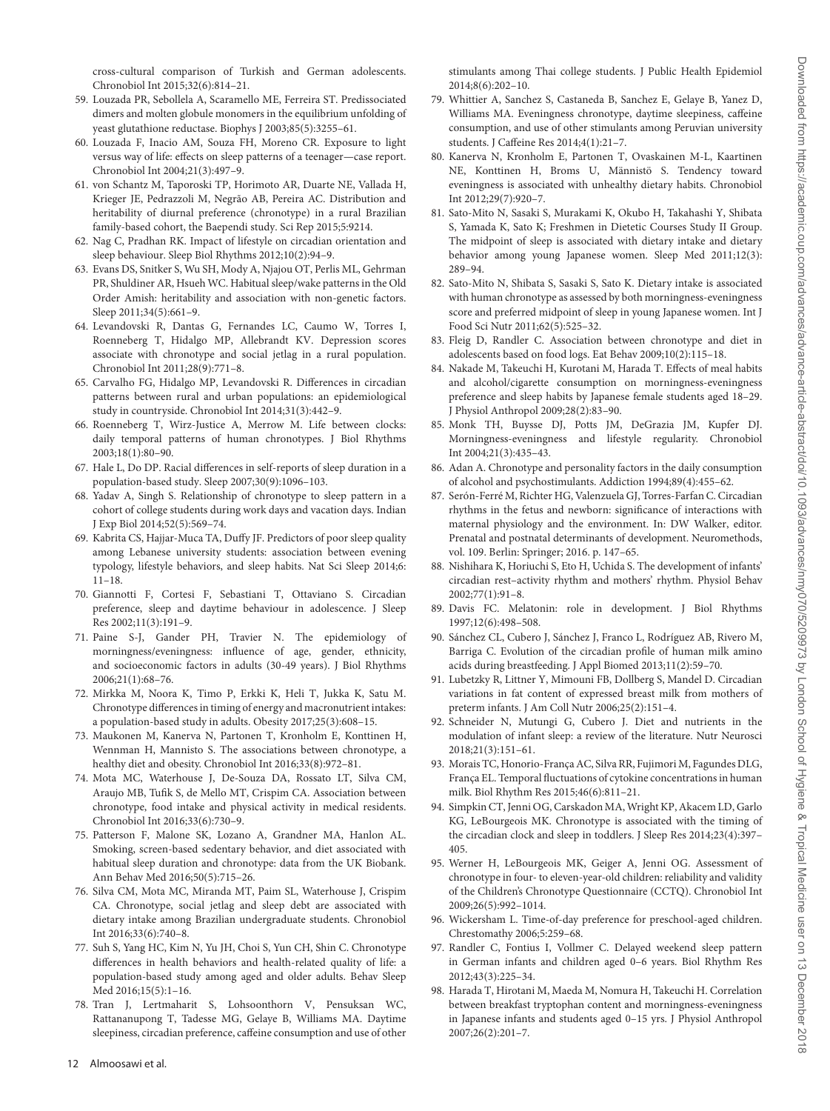cross-cultural comparison of Turkish and German adolescents. Chronobiol Int 2015;32(6):814–21.

- <span id="page-11-0"></span>59. Louzada PR, Sebollela A, Scaramello ME, Ferreira ST. Predissociated dimers and molten globule monomers in the equilibrium unfolding of yeast glutathione reductase. Biophys J 2003;85(5):3255–61.
- <span id="page-11-1"></span>60. Louzada F, Inacio AM, Souza FH, Moreno CR. Exposure to light versus way of life: effects on sleep patterns of a teenager—case report. Chronobiol Int 2004;21(3):497–9.
- <span id="page-11-2"></span>61. von Schantz M, Taporoski TP, Horimoto AR, Duarte NE, Vallada H, Krieger JE, Pedrazzoli M, Negrão AB, Pereira AC. Distribution and heritability of diurnal preference (chronotype) in a rural Brazilian family-based cohort, the Baependi study. Sci Rep 2015;5:9214.
- 62. Nag C, Pradhan RK. Impact of lifestyle on circadian orientation and sleep behaviour. Sleep Biol Rhythms 2012;10(2):94–9.
- 63. Evans DS, Snitker S, Wu SH, Mody A, Njajou OT, Perlis ML, Gehrman PR, Shuldiner AR, Hsueh WC. Habitual sleep/wake patterns in the Old Order Amish: heritability and association with non-genetic factors. Sleep 2011;34(5):661–9.
- <span id="page-11-3"></span>64. Levandovski R, Dantas G, Fernandes LC, Caumo W, Torres I, Roenneberg T, Hidalgo MP, Allebrandt KV. Depression scores associate with chronotype and social jetlag in a rural population. Chronobiol Int 2011;28(9):771–8.
- <span id="page-11-4"></span>65. Carvalho FG, Hidalgo MP, Levandovski R. Differences in circadian patterns between rural and urban populations: an epidemiological study in countryside. Chronobiol Int 2014;31(3):442–9.
- <span id="page-11-5"></span>66. Roenneberg T, Wirz-Justice A, Merrow M. Life between clocks: daily temporal patterns of human chronotypes. J Biol Rhythms 2003;18(1):80–90.
- <span id="page-11-6"></span>67. Hale L, Do DP. Racial differences in self-reports of sleep duration in a population-based study. Sleep 2007;30(9):1096–103.
- <span id="page-11-7"></span>68. Yadav A, Singh S. Relationship of chronotype to sleep pattern in a cohort of college students during work days and vacation days. Indian J Exp Biol 2014;52(5):569–74.
- <span id="page-11-8"></span>69. Kabrita CS, Hajjar-Muca TA, Duffy JF. Predictors of poor sleep quality among Lebanese university students: association between evening typology, lifestyle behaviors, and sleep habits. Nat Sci Sleep 2014;6: 11–18.
- <span id="page-11-9"></span>70. Giannotti F, Cortesi F, Sebastiani T, Ottaviano S. Circadian preference, sleep and daytime behaviour in adolescence. J Sleep Res 2002;11(3):191–9.
- <span id="page-11-10"></span>71. Paine S-J, Gander PH, Travier N. The epidemiology of morningness/eveningness: influence of age, gender, ethnicity, and socioeconomic factors in adults (30-49 years). J Biol Rhythms 2006;21(1):68–76.
- <span id="page-11-14"></span>72. Mirkka M, Noora K, Timo P, Erkki K, Heli T, Jukka K, Satu M. Chronotype differences in timing of energy and macronutrient intakes: a population-based study in adults. Obesity 2017;25(3):608–15.
- <span id="page-11-15"></span>73. Maukonen M, Kanerva N, Partonen T, Kronholm E, Konttinen H, Wennman H, Mannisto S. The associations between chronotype, a healthy diet and obesity. Chronobiol Int 2016;33(8):972–81.
- <span id="page-11-11"></span>74. Mota MC, Waterhouse J, De-Souza DA, Rossato LT, Silva CM, Araujo MB, Tufik S, de Mello MT, Crispim CA. Association between chronotype, food intake and physical activity in medical residents. Chronobiol Int 2016;33(6):730–9.
- <span id="page-11-16"></span>75. Patterson F, Malone SK, Lozano A, Grandner MA, Hanlon AL. Smoking, screen-based sedentary behavior, and diet associated with habitual sleep duration and chronotype: data from the UK Biobank. Ann Behav Med 2016;50(5):715–26.
- <span id="page-11-17"></span>76. Silva CM, Mota MC, Miranda MT, Paim SL, Waterhouse J, Crispim CA. Chronotype, social jetlag and sleep debt are associated with dietary intake among Brazilian undergraduate students. Chronobiol Int 2016;33(6):740–8.
- <span id="page-11-12"></span>77. Suh S, Yang HC, Kim N, Yu JH, Choi S, Yun CH, Shin C. Chronotype differences in health behaviors and health-related quality of life: a population-based study among aged and older adults. Behav Sleep Med 2016;15(5):1–16.
- <span id="page-11-18"></span>78. Tran J, Lertmaharit S, Lohsoonthorn V, Pensuksan WC, Rattananupong T, Tadesse MG, Gelaye B, Williams MA. Daytime sleepiness, circadian preference, caffeine consumption and use of other

stimulants among Thai college students. J Public Health Epidemiol 2014;8(6):202–10.

- <span id="page-11-19"></span>79. Whittier A, Sanchez S, Castaneda B, Sanchez E, Gelaye B, Yanez D, Williams MA. Eveningness chronotype, daytime sleepiness, caffeine consumption, and use of other stimulants among Peruvian university students. J Caffeine Res 2014;4(1):21–7.
- <span id="page-11-13"></span>80. Kanerva N, Kronholm E, Partonen T, Ovaskainen M-L, Kaartinen NE, Konttinen H, Broms U, Männistö S. Tendency toward eveningness is associated with unhealthy dietary habits. Chronobiol Int 2012;29(7):920–7.
- <span id="page-11-20"></span>81. Sato-Mito N, Sasaki S, Murakami K, Okubo H, Takahashi Y, Shibata S, Yamada K, Sato K; Freshmen in Dietetic Courses Study II Group. The midpoint of sleep is associated with dietary intake and dietary behavior among young Japanese women. Sleep Med 2011;12(3): 289–94.
- <span id="page-11-21"></span>82. Sato-Mito N, Shibata S, Sasaki S, Sato K. Dietary intake is associated with human chronotype as assessed by both morningness-eveningness score and preferred midpoint of sleep in young Japanese women. Int J Food Sci Nutr 2011;62(5):525–32.
- <span id="page-11-22"></span>83. Fleig D, Randler C. Association between chronotype and diet in adolescents based on food logs. Eat Behav 2009;10(2):115–18.
- <span id="page-11-23"></span>84. Nakade M, Takeuchi H, Kurotani M, Harada T. Effects of meal habits and alcohol/cigarette consumption on morningness-eveningness preference and sleep habits by Japanese female students aged 18–29. J Physiol Anthropol 2009;28(2):83–90.
- <span id="page-11-24"></span>85. Monk TH, Buysse DJ, Potts JM, DeGrazia JM, Kupfer DJ. Morningness-eveningness and lifestyle regularity. Chronobiol Int 2004;21(3):435–43.
- <span id="page-11-25"></span>86. Adan A. Chronotype and personality factors in the daily consumption of alcohol and psychostimulants. Addiction 1994;89(4):455–62.
- <span id="page-11-26"></span>87. Serón-Ferré M, Richter HG, Valenzuela GJ, Torres-Farfan C. Circadian rhythms in the fetus and newborn: significance of interactions with maternal physiology and the environment. In: DW Walker, editor. Prenatal and postnatal determinants of development. Neuromethods, vol. 109. Berlin: Springer; 2016. p. 147–65.
- <span id="page-11-27"></span>88. Nishihara K, Horiuchi S, Eto H, Uchida S. The development of infants' circadian rest–activity rhythm and mothers' rhythm. Physiol Behav 2002;77(1):91–8.
- <span id="page-11-28"></span>89. Davis FC. Melatonin: role in development. J Biol Rhythms 1997;12(6):498–508.
- <span id="page-11-29"></span>90. Sánchez CL, Cubero J, Sánchez J, Franco L, Rodríguez AB, Rivero M, Barriga C. Evolution of the circadian profile of human milk amino acids during breastfeeding. J Appl Biomed 2013;11(2):59–70.
- 91. Lubetzky R, Littner Y, Mimouni FB, Dollberg S, Mandel D. Circadian variations in fat content of expressed breast milk from mothers of preterm infants. J Am Coll Nutr 2006;25(2):151–4.
- 92. Schneider N, Mutungi G, Cubero J. Diet and nutrients in the modulation of infant sleep: a review of the literature. Nutr Neurosci 2018;21(3):151–61.
- <span id="page-11-30"></span>93. Morais TC, Honorio-França AC, Silva RR, Fujimori M, Fagundes DLG, França EL. Temporal fluctuations of cytokine concentrations in human milk. Biol Rhythm Res 2015;46(6):811–21.
- <span id="page-11-31"></span>94. Simpkin CT, Jenni OG, Carskadon MA,Wright KP, Akacem LD, Garlo KG, LeBourgeois MK. Chronotype is associated with the timing of the circadian clock and sleep in toddlers. J Sleep Res 2014;23(4):397– 405.
- <span id="page-11-32"></span>95. Werner H, LeBourgeois MK, Geiger A, Jenni OG. Assessment of chronotype in four- to eleven-year-old children: reliability and validity of the Children's Chronotype Questionnaire (CCTQ). Chronobiol Int 2009;26(5):992–1014.
- <span id="page-11-33"></span>96. Wickersham L. Time-of-day preference for preschool-aged children. Chrestomathy 2006;5:259–68.
- <span id="page-11-34"></span>97. Randler C, Fontius I, Vollmer C. Delayed weekend sleep pattern in German infants and children aged 0–6 years. Biol Rhythm Res 2012;43(3):225–34.
- <span id="page-11-35"></span>98. Harada T, Hirotani M, Maeda M, Nomura H, Takeuchi H. Correlation between breakfast tryptophan content and morningness-eveningness in Japanese infants and students aged 0–15 yrs. J Physiol Anthropol 2007;26(2):201–7.